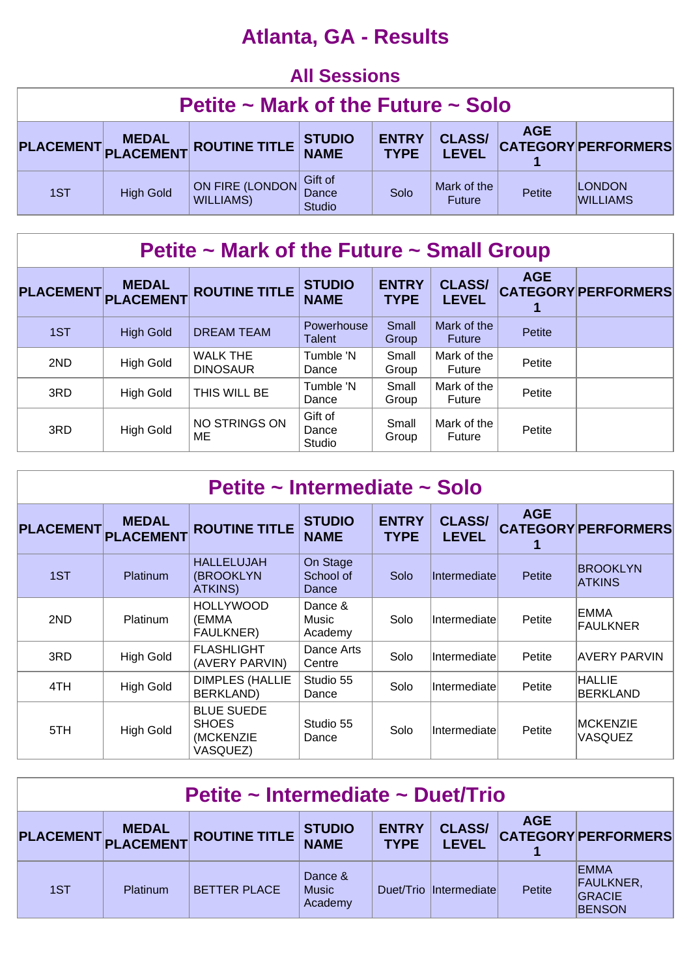# **Atlanta, GA - Results**

#### **All Sessions Petite ~ Mark of the Future ~ Solo PLACEMENT MEDAL PLACEMENT ROUTINE TITLE STUDIO NAME ENTRY TYPE CLASS/ LEVEL AGE CATEGORY PERFORMERS 1** 1ST High Gold ON FIRE (LONDON WILLIAMS) Gift of **Dance** Studio  $Solo$  Mark of the ark of the **Petite LONDON**<br>Future Petite WILLIAMS

## **Petite ~ Mark of the Future ~ Small Group**

| PLACEMENT PLACEMENT | <b>MEDAL</b>     | <b>ROUTINE TITLE</b>               | <b>STUDIO</b><br><b>NAME</b> | <b>ENTRY</b><br><b>TYPE</b> | <b>CLASS/</b><br><b>LEVEL</b> | <b>AGE</b> | <b>CATEGORY PERFORMERS</b> |
|---------------------|------------------|------------------------------------|------------------------------|-----------------------------|-------------------------------|------------|----------------------------|
| 1ST                 | <b>High Gold</b> | <b>DREAM TEAM</b>                  | Powerhouse<br><b>Talent</b>  | Small<br>Group              | Mark of the<br>Future         | Petite     |                            |
| 2ND                 | <b>High Gold</b> | <b>WALK THE</b><br><b>DINOSAUR</b> | Tumble 'N<br>Dance           | Small<br>Group              | Mark of the<br>Future         | Petite     |                            |
| 3RD                 | High Gold        | THIS WILL BE                       | Tumble 'N<br>Dance           | Small<br>Group              | Mark of the<br>Future         | Petite     |                            |
| 3RD                 | <b>High Gold</b> | NO STRINGS ON<br>ME                | Gift of<br>Dance<br>Studio   | Small<br>Group              | Mark of the<br>Future         | Petite     |                            |

| Petite ~ Intermediate ~ Solo |                                  |                                                            |                                |                             |                               |               |                                  |  |  |  |
|------------------------------|----------------------------------|------------------------------------------------------------|--------------------------------|-----------------------------|-------------------------------|---------------|----------------------------------|--|--|--|
| <b>PLACEMENT</b>             | <b>MEDAL</b><br><b>PLACEMENT</b> | <b>ROUTINE TITLE</b>                                       | <b>STUDIO</b><br><b>NAME</b>   | <b>ENTRY</b><br><b>TYPE</b> | <b>CLASS/</b><br><b>LEVEL</b> | <b>AGE</b>    | <b>CATEGORY PERFORMERS</b>       |  |  |  |
| 1ST                          | <b>Platinum</b>                  | <b>HALLELUJAH</b><br>(BROOKLYN<br><b>ATKINS)</b>           | On Stage<br>School of<br>Dance | Solo                        | Intermediate                  | <b>Petite</b> | <b>BROOKLYN</b><br><b>ATKINS</b> |  |  |  |
| 2ND                          | Platinum                         | <b>HOLLYWOOD</b><br>(EMMA<br>FAULKNER)                     | Dance &<br>Music<br>Academy    | Solo                        | Intermediate                  | Petite        | <b>EMMA</b><br><b>FAULKNER</b>   |  |  |  |
| 3RD                          | <b>High Gold</b>                 | <b>FLASHLIGHT</b><br>(AVERY PARVIN)                        | Dance Arts<br>Centre           | Solo                        | Intermediate                  | Petite        | <b>AVERY PARVIN</b>              |  |  |  |
| 4TH                          | <b>High Gold</b>                 | <b>DIMPLES (HALLIE</b><br><b>BERKLAND)</b>                 | Studio 55<br>Dance             | Solo                        | Intermediate                  | Petite        | <b>HALLIE</b><br><b>BERKLAND</b> |  |  |  |
| 5TH                          | <b>High Gold</b>                 | <b>BLUE SUEDE</b><br><b>SHOES</b><br>(MCKENZIE<br>VASQUEZ) | Studio 55<br>Dance             | Solo                        | Intermediate                  | Petite        | <b>MCKENZIE</b><br>VASQUEZ       |  |  |  |

| Petite ~ Intermediate ~ Duet/Trio                                                                                                                                   |                 |                     |                                    |  |                        |        |                                                                   |  |  |
|---------------------------------------------------------------------------------------------------------------------------------------------------------------------|-----------------|---------------------|------------------------------------|--|------------------------|--------|-------------------------------------------------------------------|--|--|
| <b>AGE</b><br><b>CLASS/</b><br><b>ENTRY</b><br><b>STUDIO<br/>NAME</b><br>PLACEMENT MEDAL ROUTINE TITLE<br><b>CATEGORY PERFORMERS</b><br><b>LEVEL</b><br><b>TYPE</b> |                 |                     |                                    |  |                        |        |                                                                   |  |  |
| 1ST                                                                                                                                                                 | <b>Platinum</b> | <b>BETTER PLACE</b> | Dance &<br><b>Music</b><br>Academy |  | Duet/Trio Intermediate | Petite | <b>EMMA</b><br><b>FAULKNER,</b><br><b>GRACIE</b><br><b>BENSON</b> |  |  |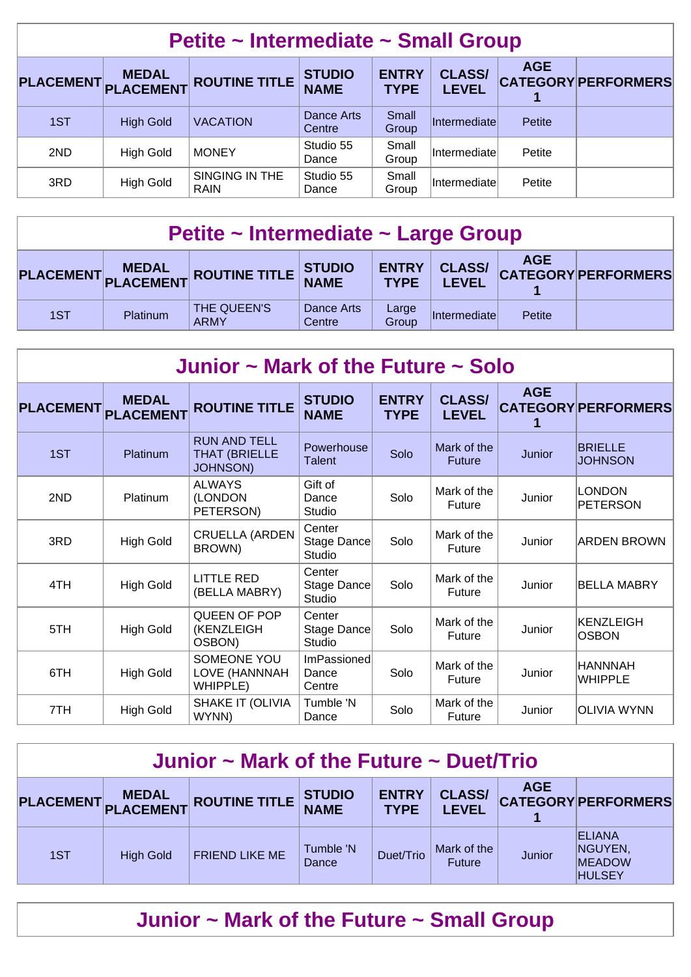| Petite ~ Intermediate ~ Small Group |                    |                               |                              |                             |                               |            |                            |  |  |
|-------------------------------------|--------------------|-------------------------------|------------------------------|-----------------------------|-------------------------------|------------|----------------------------|--|--|
| <b>PLACEMENT</b>                    | MEDAL<br>PLACEMENT | <b>ROUTINE TITLE</b>          | <b>STUDIO</b><br><b>NAME</b> | <b>ENTRY</b><br><b>TYPE</b> | <b>CLASS/</b><br><b>LEVEL</b> | <b>AGE</b> | <b>CATEGORY PERFORMERS</b> |  |  |
| 1ST                                 | <b>High Gold</b>   | <b>VACATION</b>               | Dance Arts<br>Centre         | Small<br>Group              | Intermediate                  | Petite     |                            |  |  |
| 2ND                                 | <b>High Gold</b>   | <b>MONEY</b>                  | Studio 55<br>Dance           | Small<br>Group              | Intermediate                  | Petite     |                            |  |  |
| 3RD                                 | <b>High Gold</b>   | SINGING IN THE<br><b>RAIN</b> | Studio 55<br>Dance           | Small<br>Group              | Intermediate                  | Petite     |                            |  |  |

| Petite ~ Intermediate ~ Large Group                                                                                                              |                 |                            |                      |                |              |        |  |  |  |
|--------------------------------------------------------------------------------------------------------------------------------------------------|-----------------|----------------------------|----------------------|----------------|--------------|--------|--|--|--|
| <b>AGE</b><br><b>CLASS/</b><br><b>ENTRY</b><br>PLACEMENT MEDAL ROUTINE TITLE STUDIO<br><b>CATEGORY PERFORMERS</b><br><b>TYPE</b><br><b>LEVEL</b> |                 |                            |                      |                |              |        |  |  |  |
| 1ST                                                                                                                                              | <b>Platinum</b> | THE QUEEN'S<br><b>ARMY</b> | Dance Arts<br>Centre | Large<br>Group | Intermediate | Petite |  |  |  |

| Junior $\sim$ Mark of the Future $\sim$ Solo |                                  |                                                                |                                        |                             |                               |            |                                  |  |  |  |
|----------------------------------------------|----------------------------------|----------------------------------------------------------------|----------------------------------------|-----------------------------|-------------------------------|------------|----------------------------------|--|--|--|
| <b>PLACEMENT</b>                             | <b>MEDAL</b><br><b>PLACEMENT</b> | <b>ROUTINE TITLE</b>                                           | <b>STUDIO</b><br><b>NAME</b>           | <b>ENTRY</b><br><b>TYPE</b> | <b>CLASS/</b><br><b>LEVEL</b> | <b>AGE</b> | <b>CATEGORY PERFORMERS</b>       |  |  |  |
| 1ST                                          | Platinum                         | <b>RUN AND TELL</b><br><b>THAT (BRIELLE</b><br><b>JOHNSON)</b> | Powerhouse<br><b>Talent</b>            | Solo                        | Mark of the<br><b>Future</b>  | Junior     | <b>BRIELLE</b><br><b>JOHNSON</b> |  |  |  |
| 2ND                                          | Platinum                         | <b>ALWAYS</b><br>(LONDON<br>PETERSON)                          | Gift of<br>Dance<br>Studio             | Solo                        | Mark of the<br>Future         | Junior     | <b>LONDON</b><br><b>PETERSON</b> |  |  |  |
| 3RD                                          | <b>High Gold</b>                 | <b>CRUELLA (ARDEN</b><br>BROWN)                                | Center<br>Stage Dance<br>Studio        | Solo                        | Mark of the<br>Future         | Junior     | <b>ARDEN BROWN</b>               |  |  |  |
| 4TH                                          | <b>High Gold</b>                 | <b>LITTLE RED</b><br>(BELLA MABRY)                             | Center<br>Stage Dance<br><b>Studio</b> | Solo                        | Mark of the<br>Future         | Junior     | <b>BELLA MABRY</b>               |  |  |  |
| 5TH                                          | <b>High Gold</b>                 | QUEEN OF POP<br>(KENZLEIGH<br>OSBON)                           | Center<br>Stage Dance<br>Studio        | Solo                        | Mark of the<br>Future         | Junior     | KENZLEIGH<br><b>OSBON</b>        |  |  |  |
| 6TH                                          | <b>High Gold</b>                 | SOMEONE YOU<br>LOVE (HANNNAH<br>WHIPPLE)                       | <b>ImPassioned</b><br>Dance<br>Centre  | Solo                        | Mark of the<br>Future         | Junior     | <b>HANNNAH</b><br><b>WHIPPLE</b> |  |  |  |
| 7TH                                          | <b>High Gold</b>                 | SHAKE IT (OLIVIA<br>WYNN)                                      | Tumble 'N<br>Dance                     | Solo                        | Mark of the<br>Future         | Junior     | IOLIVIA WYNN                     |  |  |  |

| Junior $\sim$ Mark of the Future $\sim$ Duet/Trio                                                                                                                   |                  |                       |                    |           |                              |        |                                                            |  |  |
|---------------------------------------------------------------------------------------------------------------------------------------------------------------------|------------------|-----------------------|--------------------|-----------|------------------------------|--------|------------------------------------------------------------|--|--|
| <b>AGE</b><br><b>ENTRY</b><br><b>CLASS/</b><br><b>STUDIO<br/>NAME</b><br>PLACEMENT MEDAL ROUTINE TITLE<br><b>CATEGORY PERFORMERS</b><br><b>LEVEL</b><br><b>TYPE</b> |                  |                       |                    |           |                              |        |                                                            |  |  |
| 1ST                                                                                                                                                                 | <b>High Gold</b> | <b>FRIEND LIKE ME</b> | Tumble 'N<br>Dance | Duet/Trio | Mark of the<br><b>Future</b> | Junior | <b>ELIANA</b><br>NGUYEN,<br><b>MEADOW</b><br><b>HULSEY</b> |  |  |

**Junior ~ Mark of the Future ~ Small Group**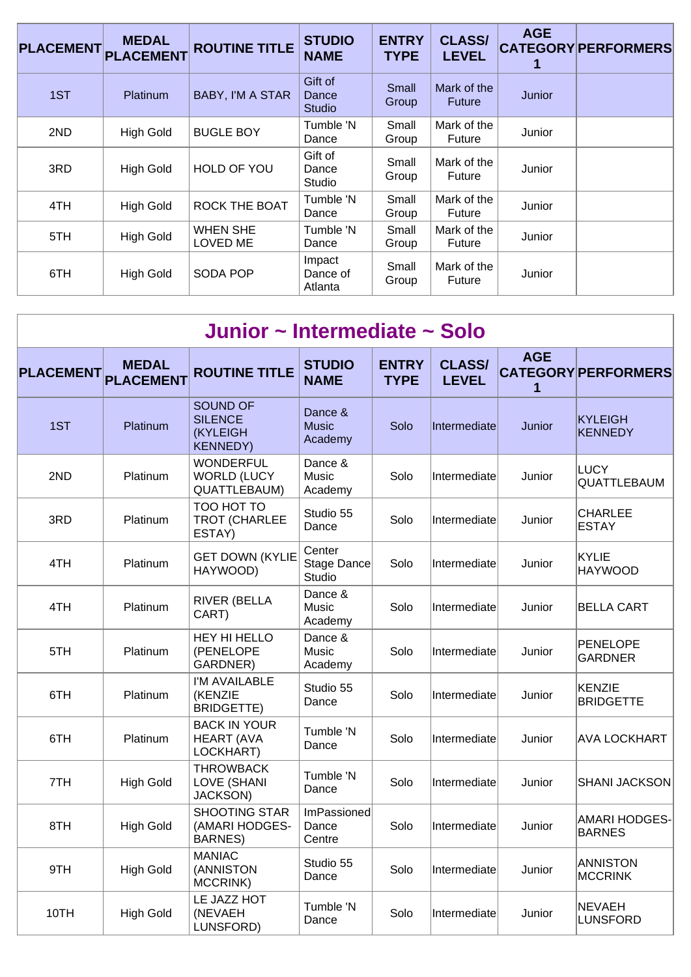| <b>PLACEMENT</b> | <b>MEDAL</b><br><b>PLACEMENT</b> | <b>ROUTINE TITLE</b>               | <b>STUDIO</b><br><b>NAME</b>      | <b>ENTRY</b><br><b>TYPE</b> | <b>CLASS/</b><br><b>LEVEL</b> | <b>AGE</b> | <b>CATEGORY PERFORMERS</b> |
|------------------|----------------------------------|------------------------------------|-----------------------------------|-----------------------------|-------------------------------|------------|----------------------------|
| 1ST              | <b>Platinum</b>                  | BABY, I'M A STAR                   | Gift of<br>Dance<br><b>Studio</b> | Small<br>Group              | Mark of the<br><b>Future</b>  | Junior     |                            |
| 2ND              | <b>High Gold</b>                 | <b>BUGLE BOY</b>                   | Tumble 'N<br>Dance                | Small<br>Group              | Mark of the<br><b>Future</b>  | Junior     |                            |
| 3RD              | <b>High Gold</b>                 | HOLD OF YOU                        | Gift of<br>Dance<br>Studio        | Small<br>Group              | Mark of the<br>Future         | Junior     |                            |
| 4TH              | <b>High Gold</b>                 | <b>ROCK THE BOAT</b>               | Tumble 'N<br>Dance                | Small<br>Group              | Mark of the<br><b>Future</b>  | Junior     |                            |
| 5TH              | <b>High Gold</b>                 | <b>WHEN SHE</b><br><b>LOVED ME</b> | Tumble 'N<br>Dance                | Small<br>Group              | Mark of the<br><b>Future</b>  | Junior     |                            |
| 6TH              | <b>High Gold</b>                 | <b>SODA POP</b>                    | Impact<br>Dance of<br>Atlanta     | Small<br>Group              | Mark of the<br><b>Future</b>  | Junior     |                            |

|                  | Junior ~ Intermediate ~ Solo     |                                                                          |                                    |                             |                               |                 |                                       |  |  |  |  |
|------------------|----------------------------------|--------------------------------------------------------------------------|------------------------------------|-----------------------------|-------------------------------|-----------------|---------------------------------------|--|--|--|--|
| <b>PLACEMENT</b> | <b>MEDAL</b><br><b>PLACEMENT</b> | <b>ROUTINE TITLE</b>                                                     | <b>STUDIO</b><br><b>NAME</b>       | <b>ENTRY</b><br><b>TYPE</b> | <b>CLASS/</b><br><b>LEVEL</b> | <b>AGE</b><br>1 | <b>CATEGORY PERFORMERS</b>            |  |  |  |  |
| 1ST              | Platinum                         | <b>SOUND OF</b><br><b>SILENCE</b><br><b>(KYLEIGH)</b><br><b>KENNEDY)</b> | Dance &<br><b>Music</b><br>Academy | Solo                        | Intermediate                  | Junior          | <b>KYLEIGH</b><br><b>KENNEDY</b>      |  |  |  |  |
| 2ND              | Platinum                         | <b>WONDERFUL</b><br><b>WORLD (LUCY</b><br>QUATTLEBAUM)                   | Dance &<br>Music<br>Academy        | Solo                        | Intermediate                  | Junior          | LUCY<br>QUATTLEBAUM                   |  |  |  |  |
| 3RD              | Platinum                         | TOO HOT TO<br><b>TROT (CHARLEE</b><br>ESTAY)                             | Studio 55<br>Dance                 | Solo                        | Intermediate                  | Junior          | <b>CHARLEE</b><br><b>ESTAY</b>        |  |  |  |  |
| 4TH              | Platinum                         | <b>GET DOWN (KYLIE</b><br>HAYWOOD)                                       | Center<br>Stage Dance<br>Studio    | Solo                        | Intermediate                  | Junior          | <b>KYLIE</b><br><b>HAYWOOD</b>        |  |  |  |  |
| 4TH              | Platinum                         | <b>RIVER (BELLA</b><br>CART)                                             | Dance &<br>Music<br>Academy        | Solo                        | Intermediate                  | Junior          | <b>BELLA CART</b>                     |  |  |  |  |
| 5TH              | Platinum                         | <b>HEY HI HELLO</b><br>(PENELOPE<br>GARDNER)                             | Dance &<br>Music<br>Academy        | Solo                        | Intermediate                  | Junior          | <b>PENELOPE</b><br><b>GARDNER</b>     |  |  |  |  |
| 6TH              | Platinum                         | I'M AVAILABLE<br>(KENZIE<br><b>BRIDGETTE)</b>                            | Studio 55<br>Dance                 | Solo                        | Intermediate                  | Junior          | KENZIE<br><b>BRIDGETTE</b>            |  |  |  |  |
| 6TH              | Platinum                         | <b>BACK IN YOUR</b><br><b>HEART (AVA</b><br>LOCKHART)                    | Tumble 'N<br>Dance                 | Solo                        | Intermediate                  | Junior          | <b>AVA LOCKHART</b>                   |  |  |  |  |
| 7TH              | <b>High Gold</b>                 | <b>THROWBACK</b><br>LOVE (SHANI<br><b>JACKSON)</b>                       | Tumble 'N<br>Dance                 | Solo                        | Intermediate                  | Junior          | <b>SHANI JACKSON</b>                  |  |  |  |  |
| 8TH              | <b>High Gold</b>                 | <b>SHOOTING STAR</b><br>(AMARI HODGES-<br><b>BARNES)</b>                 | ImPassioned<br>Dance<br>Centre     | Solo                        | Intermediate                  | Junior          | <b>AMARI HODGES-</b><br><b>BARNES</b> |  |  |  |  |
| 9TH              | <b>High Gold</b>                 | <b>MANIAC</b><br>(ANNISTON<br>MCCRINK)                                   | Studio 55<br>Dance                 | Solo                        | Intermediate                  | Junior          | <b>ANNISTON</b><br><b>MCCRINK</b>     |  |  |  |  |
| 10TH             | <b>High Gold</b>                 | LE JAZZ HOT<br>(NEVAEH<br>LUNSFORD)                                      | Tumble 'N<br>Dance                 | Solo                        | Intermediate                  | Junior          | <b>NEVAEH</b><br><b>LUNSFORD</b>      |  |  |  |  |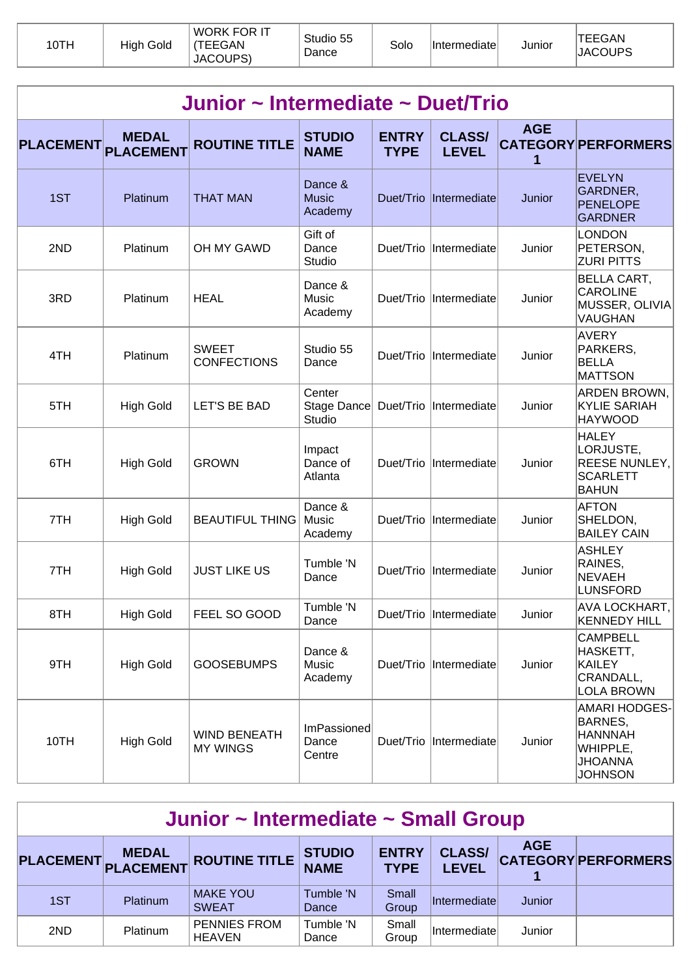| 10TH | <b>High Gold</b> | WORK FOR IT<br><b>TEEGAN</b><br>JACOUPS) | Studio 55<br>Dance | Solo | <b>Intermediatel</b> | Junior | <b>TEEGAN</b><br><b>JACOUPS</b> |
|------|------------------|------------------------------------------|--------------------|------|----------------------|--------|---------------------------------|
|------|------------------|------------------------------------------|--------------------|------|----------------------|--------|---------------------------------|

|                  | Junior ~ Intermediate ~ Duet/Trio |                                        |                                    |                             |                               |                 |                                                                                            |  |  |  |  |  |
|------------------|-----------------------------------|----------------------------------------|------------------------------------|-----------------------------|-------------------------------|-----------------|--------------------------------------------------------------------------------------------|--|--|--|--|--|
| <b>PLACEMENT</b> | <b>MEDAL</b><br><b>PLACEMENT</b>  | <b>ROUTINE TITLE</b>                   | <b>STUDIO</b><br><b>NAME</b>       | <b>ENTRY</b><br><b>TYPE</b> | <b>CLASS/</b><br><b>LEVEL</b> | <b>AGE</b><br>1 | <b>CATEGORY PERFORMERS</b>                                                                 |  |  |  |  |  |
| 1ST              | Platinum                          | <b>THAT MAN</b>                        | Dance &<br><b>Music</b><br>Academy | Duet/Trio                   | Intermediate                  | Junior          | <b>EVELYN</b><br>GARDNER,<br><b>PENELOPE</b><br><b>GARDNER</b>                             |  |  |  |  |  |
| 2ND              | Platinum                          | OH MY GAWD                             | Gift of<br>Dance<br>Studio         |                             | Duet/Trio Intermediate        | Junior          | <b>LONDON</b><br>PETERSON,<br><b>ZURI PITTS</b>                                            |  |  |  |  |  |
| 3RD              | Platinum                          | <b>HEAL</b>                            | Dance &<br>Music<br>Academy        |                             | Duet/Trio  Intermediate       | Junior          | <b>BELLA CART,</b><br><b>CAROLINE</b><br>MUSSER, OLIVIA<br>VAUGHAN                         |  |  |  |  |  |
| 4TH              | Platinum                          | <b>SWEET</b><br><b>CONFECTIONS</b>     | Studio 55<br>Dance                 |                             | Duet/Trio  Intermediate       | Junior          | <b>AVERY</b><br>PARKERS,<br><b>BELLA</b><br><b>MATTSON</b>                                 |  |  |  |  |  |
| 5TH              | <b>High Gold</b>                  | <b>LET'S BE BAD</b>                    | Center<br>Stage Dance<br>Studio    | Duet/Trio                   | Intermediate                  | Junior          | ARDEN BROWN,<br><b>KYLIE SARIAH</b><br><b>HAYWOOD</b>                                      |  |  |  |  |  |
| 6TH              | <b>High Gold</b>                  | <b>GROWN</b>                           | Impact<br>Dance of<br>Atlanta      | Duet/Trio                   | Intermediate                  | Junior          | <b>HALEY</b><br>LORJUSTE,<br>REESE NUNLEY,<br><b>SCARLETT</b><br><b>BAHUN</b>              |  |  |  |  |  |
| 7TH              | <b>High Gold</b>                  | <b>BEAUTIFUL THING</b>                 | Dance &<br>Music<br>Academy        | Duet/Trio                   | Intermediate                  | Junior          | <b>AFTON</b><br>SHELDON,<br><b>BAILEY CAIN</b>                                             |  |  |  |  |  |
| 7TH              | <b>High Gold</b>                  | <b>JUST LIKE US</b>                    | Tumble 'N<br>Dance                 | Duet/Trio                   | Intermediate                  | Junior          | <b>ASHLEY</b><br>RAINES,<br><b>NEVAEH</b><br><b>LUNSFORD</b>                               |  |  |  |  |  |
| 8TH              | <b>High Gold</b>                  | FEEL SO GOOD                           | Tumble 'N<br>Dance                 |                             | Duet/Trio  Intermediate       | Junior          | AVA LOCKHART,<br><b>KENNEDY HILL</b>                                                       |  |  |  |  |  |
| 9TH              | <b>High Gold</b>                  | <b>GOOSEBUMPS</b>                      | Dance &<br>Music<br>Academy        |                             | Duet/Trio  Intermediate       | Junior          | <b>CAMPBELL</b><br>HASKETT,<br><b>KAILEY</b><br>CRANDALL,<br><b>LOLA BROWN</b>             |  |  |  |  |  |
| 10TH             | <b>High Gold</b>                  | <b>WIND BENEATH</b><br><b>MY WINGS</b> | ImPassioned<br>Dance<br>Centre     |                             | Duet/Trio  Intermediate       | Junior          | AMARI HODGES-<br>BARNES,<br><b>HANNNAH</b><br>WHIPPLE,<br><b>JHOANNA</b><br><b>JOHNSON</b> |  |  |  |  |  |

| Junior ~ Intermediate ~ Small Group |          |                                      |                              |                             |                               |               |                            |  |  |
|-------------------------------------|----------|--------------------------------------|------------------------------|-----------------------------|-------------------------------|---------------|----------------------------|--|--|
|                                     |          | PLACEMENT MEDAL ROUTINE TITLE        | <b>STUDIO</b><br><b>NAME</b> | <b>ENTRY</b><br><b>TYPE</b> | <b>CLASS/</b><br><b>LEVEL</b> | <b>AGE</b>    | <b>CATEGORY PERFORMERS</b> |  |  |
| 1ST                                 | Platinum | <b>MAKE YOU</b><br><b>SWEAT</b>      | Tumble 'N<br>Dance           | Small<br>Group              | Intermediate                  | <b>Junior</b> |                            |  |  |
| 2ND                                 | Platinum | <b>PENNIES FROM</b><br><b>HEAVEN</b> | Tumble 'N<br>Dance           | Small<br>Group              | Intermediate                  | Junior        |                            |  |  |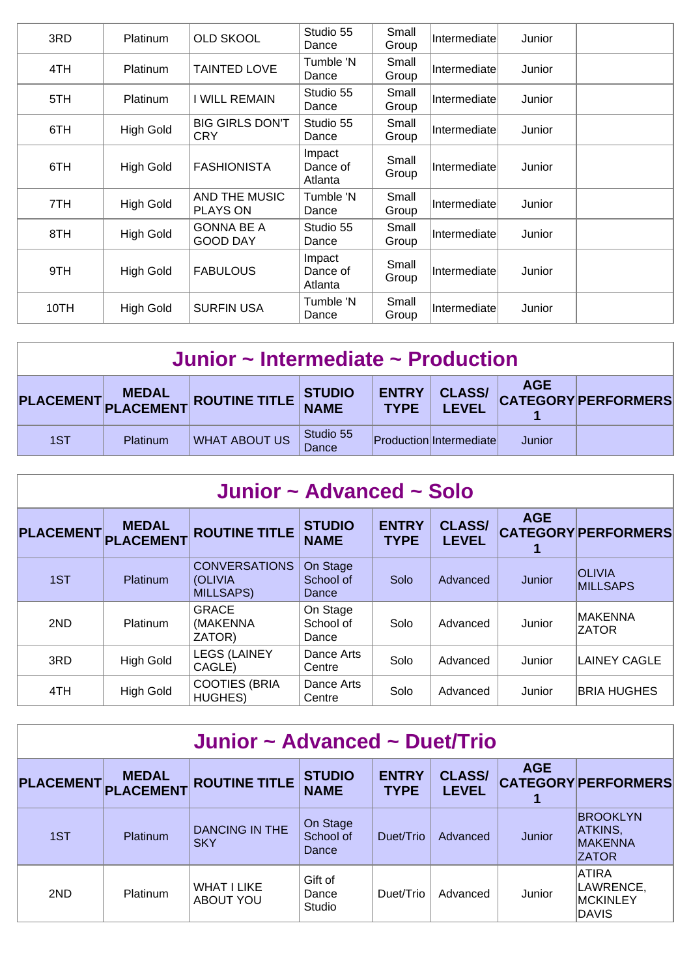| 3RD  | <b>Platinum</b>  | <b>OLD SKOOL</b>                     | Studio 55<br>Dance            | Small<br>Group | Intermediate | Junior |  |
|------|------------------|--------------------------------------|-------------------------------|----------------|--------------|--------|--|
| 4TH  | Platinum         | <b>TAINTED LOVE</b>                  | Tumble 'N<br>Dance            | Small<br>Group | Intermediate | Junior |  |
| 5TH  | <b>Platinum</b>  | I WILL REMAIN                        | Studio 55<br>Dance            | Small<br>Group | Intermediate | Junior |  |
| 6TH  | <b>High Gold</b> | <b>BIG GIRLS DON'T</b><br>CRY        | Studio 55<br>Dance            | Small<br>Group | Intermediate | Junior |  |
| 6TH  | <b>High Gold</b> | <b>FASHIONISTA</b>                   | Impact<br>Dance of<br>Atlanta | Small<br>Group | Intermediate | Junior |  |
| 7TH  | <b>High Gold</b> | AND THE MUSIC<br><b>PLAYS ON</b>     | Tumble 'N<br>Dance            | Small<br>Group | Intermediate | Junior |  |
| 8TH  | <b>High Gold</b> | <b>GONNA BE A</b><br><b>GOOD DAY</b> | Studio 55<br>Dance            | Small<br>Group | Intermediate | Junior |  |
| 9TH  | <b>High Gold</b> | <b>FABULOUS</b>                      | Impact<br>Dance of<br>Atlanta | Small<br>Group | Intermediate | Junior |  |
| 10TH | <b>High Gold</b> | <b>SURFIN USA</b>                    | Tumble 'N<br>Dance            | Small<br>Group | Intermediate | Junior |  |

|     | Junior $\sim$ Intermediate $\sim$ Production |                                      |                           |  |                                   |            |                            |  |  |  |  |
|-----|----------------------------------------------|--------------------------------------|---------------------------|--|-----------------------------------|------------|----------------------------|--|--|--|--|
|     |                                              | PLACEMENT MEDAL ROUTINE TITLE STUDIO |                           |  | <b>ENTRY CLASS/</b><br>TYPE LEVEL | <b>AGE</b> | <b>CATEGORY PERFORMERS</b> |  |  |  |  |
| 1ST | <b>Platinum</b>                              | <b>WHAT ABOUT US</b>                 | Studio 55<br><b>Dance</b> |  | Production Intermediate           | Junior     |                            |  |  |  |  |

|                  | Junior ~ Advanced ~ Solo         |                                                             |                                |                             |                               |            |                                  |  |  |  |  |  |
|------------------|----------------------------------|-------------------------------------------------------------|--------------------------------|-----------------------------|-------------------------------|------------|----------------------------------|--|--|--|--|--|
| <b>PLACEMENT</b> | <b>MEDAL</b><br><b>PLACEMENT</b> | <b>ROUTINE TITLE</b>                                        | <b>STUDIO</b><br><b>NAME</b>   | <b>ENTRY</b><br><b>TYPE</b> | <b>CLASS/</b><br><b>LEVEL</b> | <b>AGE</b> | <b>CATEGORY PERFORMERS</b>       |  |  |  |  |  |
| 1ST              | <b>Platinum</b>                  | <b>CONVERSATIONS</b><br><b>(OLIVIA)</b><br><b>MILLSAPS)</b> | On Stage<br>School of<br>Dance | Solo                        | Advanced                      | Junior     | <b>OLIVIA</b><br><b>MILLSAPS</b> |  |  |  |  |  |
| 2ND              | <b>Platinum</b>                  | <b>GRACE</b><br>(MAKENNA<br>ZATOR)                          | On Stage<br>School of<br>Dance | Solo                        | Advanced                      | Junior     | <b>MAKENNA</b><br><b>ZATOR</b>   |  |  |  |  |  |
| 3RD              | <b>High Gold</b>                 | <b>LEGS (LAINEY</b><br>CAGLE)                               | Dance Arts<br>Centre           | Solo                        | Advanced                      | Junior     | LAINEY CAGLE                     |  |  |  |  |  |
| 4TH              | <b>High Gold</b>                 | <b>COOTIES (BRIA</b><br><b>HUGHES)</b>                      | Dance Arts<br>Centre           | Solo                        | Advanced                      | Junior     | <b>BRIA HUGHES</b>               |  |  |  |  |  |

|                  | Junior ~ Advanced ~ Duet/Trio |                                        |                                |                             |                               |            |                                                              |  |  |  |  |
|------------------|-------------------------------|----------------------------------------|--------------------------------|-----------------------------|-------------------------------|------------|--------------------------------------------------------------|--|--|--|--|
| <b>PLACEMENT</b> | <b>MEDAL</b><br>PLACEMENT     | <b>ROUTINE TITLE</b>                   | <b>STUDIO</b><br><b>NAME</b>   | <b>ENTRY</b><br><b>TYPE</b> | <b>CLASS/</b><br><b>LEVEL</b> | <b>AGE</b> | <b>CATEGORY PERFORMERS</b>                                   |  |  |  |  |
| 1ST              | Platinum                      | <b>DANCING IN THE</b><br><b>SKY</b>    | On Stage<br>School of<br>Dance | Duet/Trio                   | Advanced                      | Junior     | <b>BROOKLYN</b><br>ATKINS,<br><b>MAKENNA</b><br><b>ZATOR</b> |  |  |  |  |
| 2ND              | Platinum                      | <b>WHAT I LIKE</b><br><b>ABOUT YOU</b> | Gift of<br>Dance<br>Studio     | Duet/Trio                   | Advanced                      | Junior     | <b>ATIRA</b><br>LAWRENCE,<br><b>MCKINLEY</b><br>DAVIS        |  |  |  |  |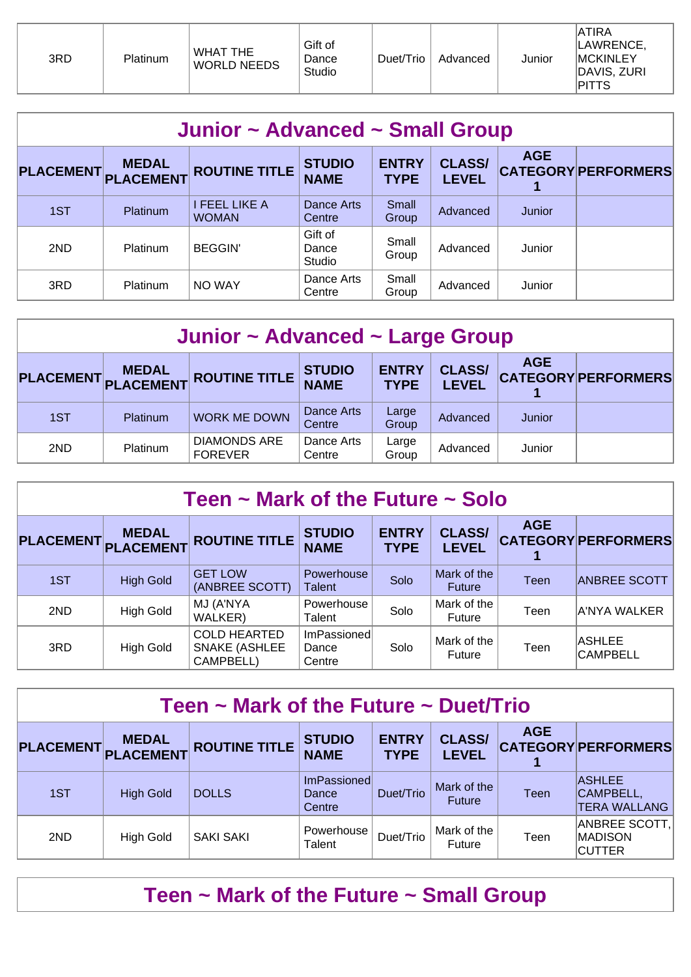| 3RD | Platinum | <b>WHAT THE</b><br><b>WORLD NEEDS</b> | Gift of<br>Dance<br>Studio | Duet/Trio | Advanced | Junior | <b>ATIRA</b><br>LAWRENCE,<br><b>MCKINLEY</b><br>DAVIS, ZURI<br><b>PITTS</b> |
|-----|----------|---------------------------------------|----------------------------|-----------|----------|--------|-----------------------------------------------------------------------------|
|-----|----------|---------------------------------------|----------------------------|-----------|----------|--------|-----------------------------------------------------------------------------|

| Junior ~ Advanced ~ Small Group |                 |                               |                              |                             |                               |            |                            |  |  |  |  |
|---------------------------------|-----------------|-------------------------------|------------------------------|-----------------------------|-------------------------------|------------|----------------------------|--|--|--|--|
| PLACEMENT PLACEMENT             | <b>MEDAL</b>    | <b>ROUTINE TITLE</b>          | <b>STUDIO</b><br><b>NAME</b> | <b>ENTRY</b><br><b>TYPE</b> | <b>CLASS/</b><br><b>LEVEL</b> | <b>AGE</b> | <b>CATEGORY PERFORMERS</b> |  |  |  |  |
| 1ST                             | <b>Platinum</b> | I FEEL LIKE A<br><b>WOMAN</b> | Dance Arts<br>Centre         | Small<br>Group              | Advanced                      | Junior     |                            |  |  |  |  |
| 2ND                             | Platinum        | <b>BEGGIN</b>                 | Gift of<br>Dance<br>Studio   | Small<br>Group              | Advanced                      | Junior     |                            |  |  |  |  |
| 3RD                             | Platinum        | NO WAY                        | Dance Arts<br>Centre         | Small<br>Group              | Advanced                      | Junior     |                            |  |  |  |  |

| Junior ~ Advanced ~ Large Group |                 |                                       |                              |                             |                               |            |                            |  |  |  |
|---------------------------------|-----------------|---------------------------------------|------------------------------|-----------------------------|-------------------------------|------------|----------------------------|--|--|--|
| PLACEMENT MEDAL                 |                 | <b>ROUTINE TITLE</b>                  | <b>STUDIO</b><br><b>NAME</b> | <b>ENTRY</b><br><b>TYPE</b> | <b>CLASS/</b><br><b>LEVEL</b> | <b>AGE</b> | <b>CATEGORY PERFORMERS</b> |  |  |  |
| 1ST                             | <b>Platinum</b> | <b>WORK ME DOWN</b>                   | Dance Arts<br>Centre         | Large<br>Group              | Advanced                      | Junior     |                            |  |  |  |
| 2ND                             | Platinum        | <b>DIAMONDS ARE</b><br><b>FOREVER</b> | Dance Arts<br>Centre         | Large<br>Group              | Advanced                      | Junior     |                            |  |  |  |

| Teen $\sim$ Mark of the Future $\sim$ Solo |                                     |                                                          |                                |                             |                               |            |                                  |  |  |  |  |
|--------------------------------------------|-------------------------------------|----------------------------------------------------------|--------------------------------|-----------------------------|-------------------------------|------------|----------------------------------|--|--|--|--|
|                                            | <b>MEDAL</b><br>PLACEMENT PLACEMENT | <b>ROUTINE TITLE</b>                                     | <b>STUDIO</b><br><b>NAME</b>   | <b>ENTRY</b><br><b>TYPE</b> | <b>CLASS/</b><br><b>LEVEL</b> | <b>AGE</b> | <b>CATEGORY PERFORMERS</b>       |  |  |  |  |
| 1ST                                        | <b>High Gold</b>                    | <b>GET LOW</b><br>(ANBREE SCOTT)                         | Powerhouse<br><b>Talent</b>    | Solo                        | Mark of the<br><b>Future</b>  | Teen       | <b>ANBREE SCOTT</b>              |  |  |  |  |
| 2ND                                        | <b>High Gold</b>                    | MJ (A'NYA<br>WALKER)                                     | Powerhouse<br>Talent           | Solo                        | Mark of the<br>Future         | Teen       | A'NYA WALKER                     |  |  |  |  |
| 3RD                                        | <b>High Gold</b>                    | <b>COLD HEARTED</b><br><b>SNAKE (ASHLEE</b><br>CAMPBELL) | ImPassioned<br>Dance<br>Centre | Solo                        | Mark of the<br>Future         | Teen       | <b>ASHLEE</b><br><b>CAMPBELL</b> |  |  |  |  |

| Teen $\sim$ Mark of the Future $\sim$ Duet/Trio |                                  |                      |                                |                             |                               |            |                                                   |  |  |  |  |
|-------------------------------------------------|----------------------------------|----------------------|--------------------------------|-----------------------------|-------------------------------|------------|---------------------------------------------------|--|--|--|--|
| <b>PLACEMENT</b>                                | <b>MEDAL</b><br><b>PLACEMENT</b> | <b>ROUTINE TITLE</b> | <b>STUDIO</b><br><b>NAME</b>   | <b>ENTRY</b><br><b>TYPE</b> | <b>CLASS/</b><br><b>LEVEL</b> | <b>AGE</b> | <b>CATEGORY PERFORMERS</b>                        |  |  |  |  |
| 1ST                                             | <b>High Gold</b>                 | <b>DOLLS</b>         | ImPassioned<br>Dance<br>Centre | Duet/Trio                   | Mark of the<br><b>Future</b>  | Teen       | <b>ASHLEE</b><br>CAMPBELL,<br><b>TERA WALLANG</b> |  |  |  |  |
| 2ND                                             | <b>High Gold</b>                 | <b>SAKI SAKI</b>     | Powerhouse<br>Talent           | Duet/Trio                   | Mark of the<br>Future         | Teen       | ANBREE SCOTT,<br><b>MADISON</b><br><b>CUTTER</b>  |  |  |  |  |

# **Teen ~ Mark of the Future ~ Small Group**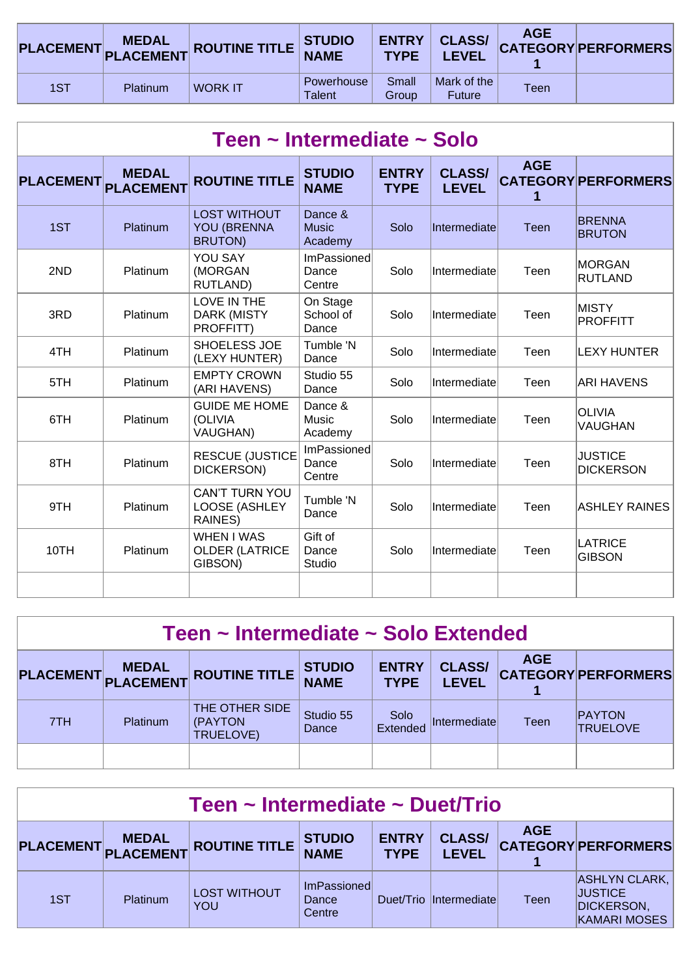|     |          | PLACEMENT MEDAL ROUTINE TITLE STUDIO |                             | <b>TYPE</b>    | <b>ENTRY   CLASS/</b><br><b>LEVEL</b> | <b>AGE</b> | <b>CATEGORY PERFORMERS</b> |
|-----|----------|--------------------------------------|-----------------------------|----------------|---------------------------------------|------------|----------------------------|
| 1ST | Platinum | <b>WORK IT</b>                       | Powerhouse<br><b>Talent</b> | Small<br>Group | Mark of the<br><b>Future</b>          | Teen       |                            |

| Teen ~ Intermediate ~ Solo |                                  |                                                             |                                    |                             |                               |                 |                                    |  |  |  |  |
|----------------------------|----------------------------------|-------------------------------------------------------------|------------------------------------|-----------------------------|-------------------------------|-----------------|------------------------------------|--|--|--|--|
| <b>PLACEMENT</b>           | <b>MEDAL</b><br><b>PLACEMENT</b> | <b>ROUTINE TITLE</b>                                        | <b>STUDIO</b><br><b>NAME</b>       | <b>ENTRY</b><br><b>TYPE</b> | <b>CLASS/</b><br><b>LEVEL</b> | <b>AGE</b><br>1 | <b>CATEGORY PERFORMERS</b>         |  |  |  |  |
| 1ST                        | Platinum                         | <b>LOST WITHOUT</b><br><b>YOU (BRENNA</b><br><b>BRUTON)</b> | Dance &<br><b>Music</b><br>Academy | Solo                        | Intermediate                  | Teen            | <b>BRENNA</b><br><b>BRUTON</b>     |  |  |  |  |
| 2ND                        | Platinum                         | YOU SAY<br>(MORGAN<br>RUTLAND)                              | ImPassioned<br>Dance<br>Centre     | Solo                        | Intermediate                  | Teen            | <b>MORGAN</b><br><b>RUTLAND</b>    |  |  |  |  |
| 3RD                        | Platinum                         | LOVE IN THE<br>DARK (MISTY<br>PROFFITT)                     | On Stage<br>School of<br>Dance     | Solo                        | Intermediate                  | Teen            | <b>MISTY</b><br><b>PROFFITT</b>    |  |  |  |  |
| 4TH                        | Platinum                         | SHOELESS JOE<br>(LEXY HUNTER)                               | Tumble 'N<br>Dance                 | Solo                        | Intermediate                  | Teen            | <b>LEXY HUNTER</b>                 |  |  |  |  |
| 5TH                        | Platinum                         | <b>EMPTY CROWN</b><br>(ARI HAVENS)                          | Studio 55<br>Dance                 | Solo                        | Intermediate                  | Teen            | ARI HAVENS                         |  |  |  |  |
| 6TH                        | Platinum                         | <b>GUIDE ME HOME</b><br>(OLIVIA<br><b>VAUGHAN)</b>          | Dance &<br>Music<br>Academy        | Solo                        | Intermediate                  | Teen            | <b>OLIVIA</b><br><b>VAUGHAN</b>    |  |  |  |  |
| 8TH                        | Platinum                         | <b>RESCUE (JUSTICE</b><br>DICKERSON)                        | ImPassioned<br>Dance<br>Centre     | Solo                        | Intermediate                  | Teen            | <b>JUSTICE</b><br><b>DICKERSON</b> |  |  |  |  |
| 9TH                        | Platinum                         | <b>CAN'T TURN YOU</b><br>LOOSE (ASHLEY<br>RAINES)           | Tumble 'N<br>Dance                 | Solo                        | Intermediate                  | Teen            | <b>ASHLEY RAINES</b>               |  |  |  |  |
| 10TH                       | Platinum                         | <b>WHEN I WAS</b><br><b>OLDER (LATRICE</b><br>GIBSON)       | Gift of<br>Dance<br>Studio         | Solo                        | Intermediate                  | Teen            | LATRICE<br><b>GIBSON</b>           |  |  |  |  |
|                            |                                  |                                                             |                                    |                             |                               |                 |                                    |  |  |  |  |

| Teen ~ Intermediate ~ Solo Extended |                 |                                        |                              |                             |                               |            |                                  |  |  |  |
|-------------------------------------|-----------------|----------------------------------------|------------------------------|-----------------------------|-------------------------------|------------|----------------------------------|--|--|--|
|                                     |                 | PLACEMENT MEDAL ROUTINE TITLE          | <b>STUDIO</b><br><b>NAME</b> | <b>ENTRY</b><br><b>TYPE</b> | <b>CLASS/</b><br><b>LEVEL</b> | <b>AGE</b> | <b>CATEGORY PERFORMERS</b>       |  |  |  |
| 7TH                                 | <b>Platinum</b> | THE OTHER SIDE<br>(PAYTON<br>TRUELOVE) | Studio 55<br>Dance           | Solo<br>Extended            | Intermediate                  | Teen       | <b>PAYTON</b><br><b>TRUELOVE</b> |  |  |  |
|                                     |                 |                                        |                              |                             |                               |            |                                  |  |  |  |

| Teen ~ Intermediate ~ Duet/Trio                                                                                                                                           |          |                                   |                                |  |                        |             |                                                                                    |  |  |
|---------------------------------------------------------------------------------------------------------------------------------------------------------------------------|----------|-----------------------------------|--------------------------------|--|------------------------|-------------|------------------------------------------------------------------------------------|--|--|
| <b>AGE</b><br><b>ENTRY</b><br><b>CLASS/</b><br><b>STUDIO</b><br>PLACEMENT MEDAL ROUTINE TITLE<br><b>CATEGORY PERFORMERS</b><br><b>NAME</b><br><b>TYPE</b><br><b>LEVEL</b> |          |                                   |                                |  |                        |             |                                                                                    |  |  |
| 1ST                                                                                                                                                                       | Platinum | <b>LOST WITHOUT</b><br><b>YOU</b> | ImPassioned<br>Dance<br>Centre |  | Duet/Trio Intermediate | <b>Teen</b> | <b>ASHLYN CLARK,</b><br><b>JUSTICE</b><br><b>DICKERSON,</b><br><b>KAMARI MOSES</b> |  |  |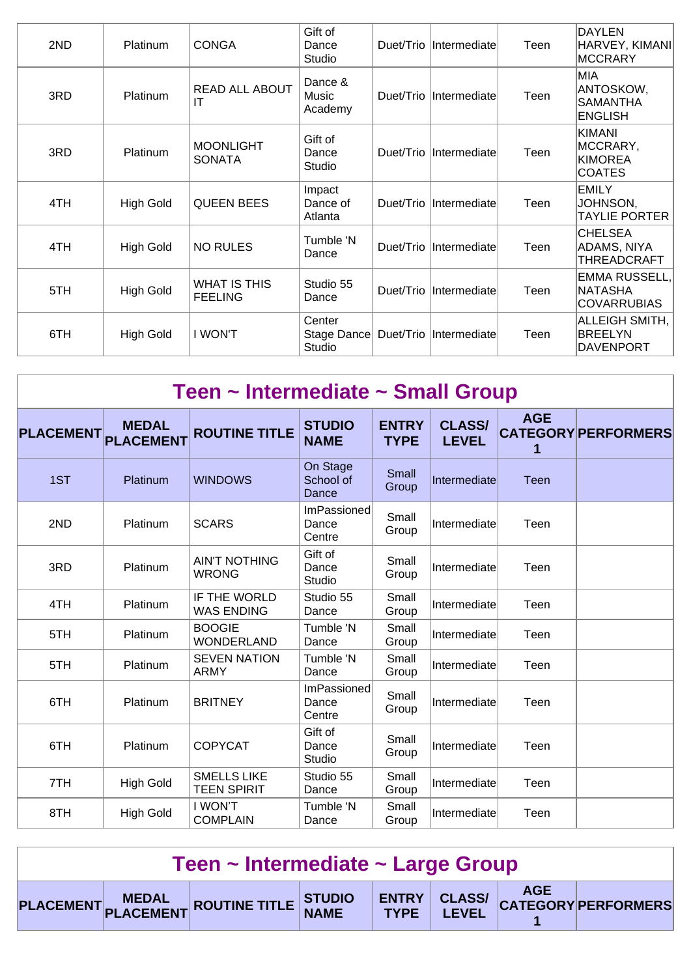| 2ND | Platinum         | <b>CONGA</b>                          | Gift of<br>Dance<br>Studio      |           | Duet/Trio   Intermediate | Teen | <b>DAYLEN</b><br>HARVEY, KIMANI<br><b>MCCRARY</b>            |
|-----|------------------|---------------------------------------|---------------------------------|-----------|--------------------------|------|--------------------------------------------------------------|
| 3RD | Platinum         | <b>READ ALL ABOUT</b><br>IT           | Dance &<br>Music<br>Academy     |           | Duet/Trio   Intermediate | Teen | MIA<br>ANTOSKOW,<br><b>SAMANTHA</b><br><b>ENGLISH</b>        |
| 3RD | Platinum         | <b>MOONLIGHT</b><br><b>SONATA</b>     | Gift of<br>Dance<br>Studio      |           | Duet/Trio   Intermediate | Teen | <b>KIMANI</b><br>MCCRARY,<br><b>KIMOREA</b><br><b>COATES</b> |
| 4TH | <b>High Gold</b> | <b>QUEEN BEES</b>                     | Impact<br>Dance of<br>Atlanta   |           | Duet/Trio Intermediate   | Teen | <b>EMILY</b><br>JOHNSON,<br><b>TAYLIE PORTER</b>             |
| 4TH | <b>High Gold</b> | <b>NO RULES</b>                       | Tumble 'N<br>Dance              | Duet/Trio | Intermediate             | Teen | <b>CHELSEA</b><br>ADAMS, NIYA<br>THREADCRAFT                 |
| 5TH | <b>High Gold</b> | <b>WHAT IS THIS</b><br><b>FEELING</b> | Studio 55<br>Dance              |           | Duet/Trio   Intermediate | Teen | EMMA RUSSELL,<br><b>NATASHA</b><br><b>COVARRUBIAS</b>        |
| 6TH | <b>High Gold</b> | I WON'T                               | Center<br>Stage Dance<br>Studio |           | Duet/Trio   Intermediate | Teen | ALLEIGH SMITH,<br><b>BREELYN</b><br><b>DAVENPORT</b>         |

| Teen ~ Intermediate ~ Small Group |                                  |                                          |                                |                             |                               |                 |                            |  |  |  |  |
|-----------------------------------|----------------------------------|------------------------------------------|--------------------------------|-----------------------------|-------------------------------|-----------------|----------------------------|--|--|--|--|
| <b>PLACEMENT</b>                  | <b>MEDAL</b><br><b>PLACEMENT</b> | <b>ROUTINE TITLE</b>                     | <b>STUDIO</b><br><b>NAME</b>   | <b>ENTRY</b><br><b>TYPE</b> | <b>CLASS/</b><br><b>LEVEL</b> | <b>AGE</b><br>1 | <b>CATEGORY PERFORMERS</b> |  |  |  |  |
| 1ST                               | Platinum                         | <b>WINDOWS</b>                           | On Stage<br>School of<br>Dance | Small<br>Group              | Intermediate                  | Teen            |                            |  |  |  |  |
| 2ND                               | Platinum                         | <b>SCARS</b>                             | ImPassioned<br>Dance<br>Centre | Small<br>Group              | Intermediate                  | Teen            |                            |  |  |  |  |
| 3RD                               | Platinum                         | <b>AIN'T NOTHING</b><br><b>WRONG</b>     | Gift of<br>Dance<br>Studio     | Small<br>Group              | Intermediate                  | Teen            |                            |  |  |  |  |
| 4TH                               | Platinum                         | IF THE WORLD<br><b>WAS ENDING</b>        | Studio 55<br>Dance             | Small<br>Group              | Intermediate                  | Teen            |                            |  |  |  |  |
| 5TH                               | Platinum                         | <b>BOOGIE</b><br><b>WONDERLAND</b>       | Tumble 'N<br>Dance             | Small<br>Group              | Intermediate                  | Teen            |                            |  |  |  |  |
| 5TH                               | Platinum                         | <b>SEVEN NATION</b><br><b>ARMY</b>       | Tumble 'N<br>Dance             | Small<br>Group              | Intermediate                  | Teen            |                            |  |  |  |  |
| 6TH                               | Platinum                         | <b>BRITNEY</b>                           | ImPassioned<br>Dance<br>Centre | Small<br>Group              | Intermediate                  | Teen            |                            |  |  |  |  |
| 6TH                               | Platinum                         | <b>COPYCAT</b>                           | Gift of<br>Dance<br>Studio     | Small<br>Group              | Intermediate                  | Teen            |                            |  |  |  |  |
| 7TH                               | <b>High Gold</b>                 | <b>SMELLS LIKE</b><br><b>TEEN SPIRIT</b> | Studio 55<br>Dance             | Small<br>Group              | Intermediate                  | Teen            |                            |  |  |  |  |
| 8TH                               | <b>High Gold</b>                 | I WON'T<br><b>COMPLAIN</b>               | Tumble 'N<br>Dance             | Small<br>Group              | Intermediate                  | Teen            |                            |  |  |  |  |

| Teen $\sim$ Intermediate $\sim$ Large Group |  |                                                                               |  |  |  |  |  |  |  |
|---------------------------------------------|--|-------------------------------------------------------------------------------|--|--|--|--|--|--|--|
|                                             |  | PLACEMENT MEDAL ROUTINE TITLE STUDIO ENTRY CLASS/ AGE AGE PLACEMENT PLACEMENT |  |  |  |  |  |  |  |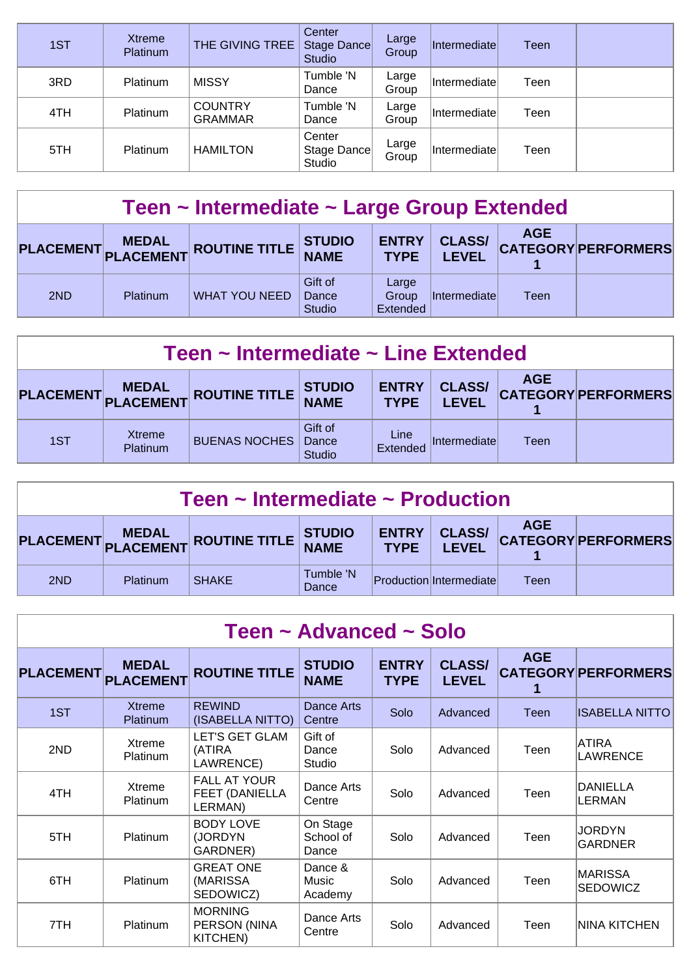| 1ST | <b>Xtreme</b><br>Platinum | THE GIVING TREE                  | Center<br>Stage Dance<br><b>Studio</b> | Large<br>Group | Intermediatel | Teen |  |
|-----|---------------------------|----------------------------------|----------------------------------------|----------------|---------------|------|--|
| 3RD | <b>Platinum</b>           | <b>MISSY</b>                     | Tumble 'N<br>Dance                     | Large<br>Group | Intermediatel | Teen |  |
| 4TH | Platinum                  | <b>COUNTRY</b><br><b>GRAMMAR</b> | Tumble 'N<br>Dance                     | Large<br>Group | Intermediatel | Teen |  |
| 5TH | <b>Platinum</b>           | <b>HAMILTON</b>                  | Center<br>Stage Dance<br>Studio        | Large<br>Group | Intermediate  | Teen |  |

| Teen ~ Intermediate ~ Large Group Extended |          |                               |                                   |                             |                               |            |                            |  |  |
|--------------------------------------------|----------|-------------------------------|-----------------------------------|-----------------------------|-------------------------------|------------|----------------------------|--|--|
|                                            |          | PLACEMENT MEDAL ROUTINE TITLE | <b>STUDIO</b><br><b>NAME</b>      | <b>ENTRY</b><br><b>TYPE</b> | <b>CLASS/</b><br><b>LEVEL</b> | <b>AGE</b> | <b>CATEGORY PERFORMERS</b> |  |  |
| 2ND                                        | Platinum | <b>WHAT YOU NEED</b>          | Gift of<br>Dance<br><b>Studio</b> | Large<br>Group<br>Extended  | Intermediate                  | Teen       |                            |  |  |

| Teen ~ Intermediate ~ Line Extended                                                                                                                                 |                    |                      |                                   |                  |              |      |  |  |  |
|---------------------------------------------------------------------------------------------------------------------------------------------------------------------|--------------------|----------------------|-----------------------------------|------------------|--------------|------|--|--|--|
| <b>AGE</b><br><b>CLASS/</b><br><b>ENTRY</b><br><b>STUDIO<br/>NAME</b><br>PLACEMENT MEDAL ROUTINE TITLE<br><b>CATEGORY PERFORMERS</b><br><b>TYPE</b><br><b>LEVEL</b> |                    |                      |                                   |                  |              |      |  |  |  |
| 1ST                                                                                                                                                                 | Xtreme<br>Platinum | <b>BUENAS NOCHES</b> | Gift of<br>Dance<br><b>Studio</b> | Line<br>Extended | Intermediate | Teen |  |  |  |

| Teen $\sim$ Intermediate $\sim$ Production                                                                                                |          |              |                    |  |                         |      |  |  |  |
|-------------------------------------------------------------------------------------------------------------------------------------------|----------|--------------|--------------------|--|-------------------------|------|--|--|--|
| <b>AGE</b><br><b>CLASS/</b><br>ENTRY<br>PLACEMENT MEDAL ROUTINE TITLE STUDIO<br><b>CATEGORY PERFORMERS</b><br><b>TYPE</b><br><b>LEVEL</b> |          |              |                    |  |                         |      |  |  |  |
| 2ND                                                                                                                                       | Platinum | <b>SHAKE</b> | Tumble 'N<br>Dance |  | Production Intermediate | Teen |  |  |  |

| Teen ~ Advanced ~ Solo |                                  |                                                  |                                |                             |                               |             |                                   |  |  |  |
|------------------------|----------------------------------|--------------------------------------------------|--------------------------------|-----------------------------|-------------------------------|-------------|-----------------------------------|--|--|--|
| <b>PLACEMENT</b>       | <b>MEDAL</b><br><b>PLACEMENT</b> | <b>ROUTINE TITLE</b>                             | <b>STUDIO</b><br><b>NAME</b>   | <b>ENTRY</b><br><b>TYPE</b> | <b>CLASS/</b><br><b>LEVEL</b> | <b>AGE</b>  | <b>CATEGORY PERFORMERS</b>        |  |  |  |
| 1ST                    | <b>Xtreme</b><br>Platinum        | <b>REWIND</b><br>(ISABELLA NITTO)                | Dance Arts<br>Centre           | Solo                        | Advanced                      | <b>Teen</b> | <b>ISABELLA NITTO</b>             |  |  |  |
| 2ND                    | Xtreme<br><b>Platinum</b>        | <b>LET'S GET GLAM</b><br>(ATIRA<br>LAWRENCE)     | Gift of<br>Dance<br>Studio     | Solo                        | Advanced                      | Teen        | <b>ATIRA</b><br>LAWRENCE          |  |  |  |
| 4TH                    | Xtreme<br>Platinum               | <b>FALL AT YOUR</b><br>FEET (DANIELLA<br>LERMAN) | Dance Arts<br>Centre           | Solo                        | Advanced                      | Teen        | <b>DANIELLA</b><br><b>LERMAN</b>  |  |  |  |
| 5TH                    | Platinum                         | <b>BODY LOVE</b><br>(JORDYN<br>GARDNER)          | On Stage<br>School of<br>Dance | Solo                        | Advanced                      | Teen        | <b>JORDYN</b><br><b>GARDNER</b>   |  |  |  |
| 6TH                    | Platinum                         | <b>GREAT ONE</b><br>(MARISSA<br>SEDOWICZ)        | Dance &<br>Music<br>Academy    | Solo                        | Advanced                      | Teen        | <b>MARISSA</b><br><b>SEDOWICZ</b> |  |  |  |
| 7TH                    | Platinum                         | <b>MORNING</b><br>PERSON (NINA<br>KITCHEN)       | Dance Arts<br>Centre           | Solo                        | Advanced                      | Teen        | <b>NINA KITCHEN</b>               |  |  |  |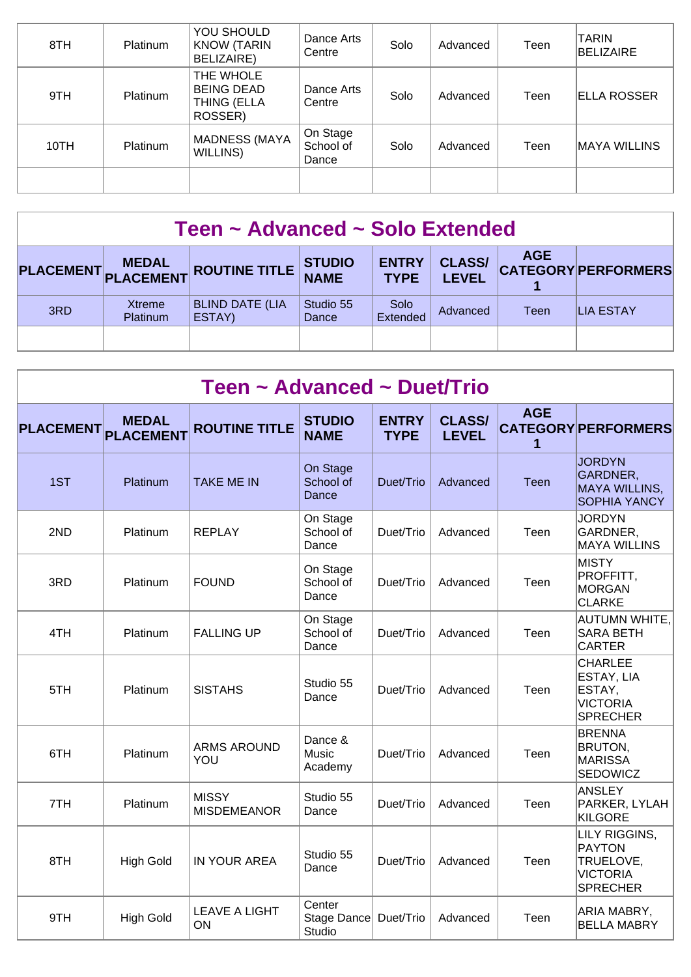| 8TH  | <b>Platinum</b> | YOU SHOULD<br><b>KNOW (TARIN</b><br><b>BELIZAIRE)</b>    | Dance Arts<br>Centre           | Solo | Advanced | Teen | <b>TARIN</b><br>BELIZAIRE |
|------|-----------------|----------------------------------------------------------|--------------------------------|------|----------|------|---------------------------|
| 9TH  | Platinum        | THE WHOLE<br><b>BEING DEAD</b><br>THING (ELLA<br>ROSSER) | Dance Arts<br>Centre           | Solo | Advanced | Teen | <b>ELLA ROSSER</b>        |
| 10TH | Platinum        | <b>MADNESS (MAYA</b><br>WILLINS)                         | On Stage<br>School of<br>Dance | Solo | Advanced | Teen | MAYA WILLINS              |
|      |                 |                                                          |                                |      |          |      |                           |

| Teen ~ Advanced ~ Solo Extended                                                                                                                                           |                    |                                  |                    |                  |          |      |                  |  |  |
|---------------------------------------------------------------------------------------------------------------------------------------------------------------------------|--------------------|----------------------------------|--------------------|------------------|----------|------|------------------|--|--|
| <b>AGE</b><br><b>CLASS/</b><br><b>ENTRY</b><br><b>STUDIO</b><br>PLACEMENT MEDAL ROUTINE TITLE<br><b>CATEGORY PERFORMERS</b><br><b>NAME</b><br><b>LEVEL</b><br><b>TYPE</b> |                    |                                  |                    |                  |          |      |                  |  |  |
| 3RD                                                                                                                                                                       | Xtreme<br>Platinum | <b>BLIND DATE (LIA</b><br>ESTAY) | Studio 55<br>Dance | Solo<br>Extended | Advanced | Teen | <b>LIA ESTAY</b> |  |  |
|                                                                                                                                                                           |                    |                                  |                    |                  |          |      |                  |  |  |

|                  | Teen ~ Advanced ~ Duet/Trio      |                                    |                                 |                             |                               |                 |                                                                                   |  |  |  |  |  |
|------------------|----------------------------------|------------------------------------|---------------------------------|-----------------------------|-------------------------------|-----------------|-----------------------------------------------------------------------------------|--|--|--|--|--|
| <b>PLACEMENT</b> | <b>MEDAL</b><br><b>PLACEMENT</b> | <b>ROUTINE TITLE</b>               | <b>STUDIO</b><br><b>NAME</b>    | <b>ENTRY</b><br><b>TYPE</b> | <b>CLASS/</b><br><b>LEVEL</b> | <b>AGE</b><br>1 | <b>CATEGORY PERFORMERS</b>                                                        |  |  |  |  |  |
| 1ST              | Platinum                         | <b>TAKE ME IN</b>                  | On Stage<br>School of<br>Dance  | Duet/Trio                   | Advanced                      | Teen            | <b>JORDYN</b><br>GARDNER,<br><b>MAYA WILLINS,</b><br><b>SOPHIA YANCY</b>          |  |  |  |  |  |
| 2ND              | Platinum                         | <b>REPLAY</b>                      | On Stage<br>School of<br>Dance  | Duet/Trio                   | Advanced                      | Teen            | <b>JORDYN</b><br>GARDNER,<br><b>MAYA WILLINS</b>                                  |  |  |  |  |  |
| 3RD              | Platinum                         | <b>FOUND</b>                       | On Stage<br>School of<br>Dance  | Duet/Trio                   | Advanced                      | Teen            | <b>MISTY</b><br>PROFFITT,<br><b>MORGAN</b><br><b>CLARKE</b>                       |  |  |  |  |  |
| 4TH              | Platinum                         | <b>FALLING UP</b>                  | On Stage<br>School of<br>Dance  | Duet/Trio                   | Advanced                      | Teen            | <b>AUTUMN WHITE,</b><br><b>SARA BETH</b><br><b>CARTER</b>                         |  |  |  |  |  |
| 5TH              | Platinum                         | <b>SISTAHS</b>                     | Studio 55<br>Dance              | Duet/Trio                   | Advanced                      | Teen            | CHARLEE<br>ESTAY, LIA<br>ESTAY,<br><b>VICTORIA</b><br><b>SPRECHER</b>             |  |  |  |  |  |
| 6TH              | Platinum                         | <b>ARMS AROUND</b><br>YOU          | Dance &<br>Music<br>Academy     | Duet/Trio                   | Advanced                      | Teen            | <b>BRENNA</b><br>BRUTON,<br><b>MARISSA</b><br>SEDOWICZ                            |  |  |  |  |  |
| 7TH              | Platinum                         | <b>MISSY</b><br><b>MISDEMEANOR</b> | Studio 55<br>Dance              | Duet/Trio                   | Advanced                      | Teen            | <b>ANSLEY</b><br>PARKER, LYLAH<br><b>KILGORE</b>                                  |  |  |  |  |  |
| 8TH              | <b>High Gold</b>                 | IN YOUR AREA                       | Studio 55<br>Dance              | Duet/Trio                   | Advanced                      | Teen            | LILY RIGGINS,<br><b>PAYTON</b><br>TRUELOVE,<br><b>VICTORIA</b><br><b>SPRECHER</b> |  |  |  |  |  |
| 9TH              | <b>High Gold</b>                 | <b>LEAVE A LIGHT</b><br>ON         | Center<br>Stage Dance<br>Studio | Duet/Trio                   | Advanced                      | Teen            | ARIA MABRY,<br><b>BELLA MABRY</b>                                                 |  |  |  |  |  |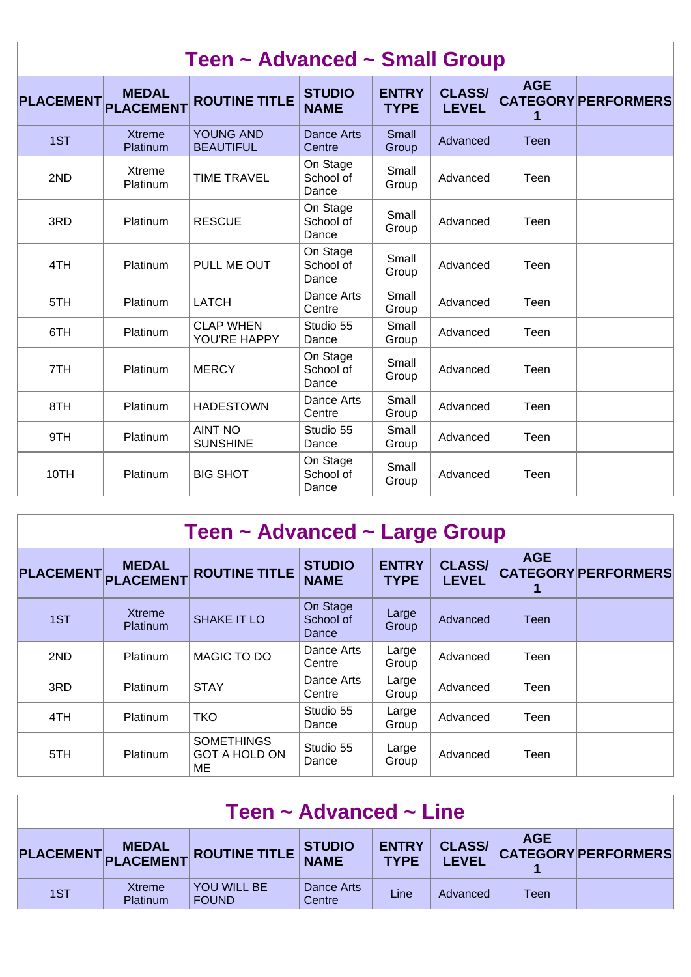| Teen ~ Advanced ~ Small Group |                                  |                                      |                                |                             |                               |            |                            |  |  |  |
|-------------------------------|----------------------------------|--------------------------------------|--------------------------------|-----------------------------|-------------------------------|------------|----------------------------|--|--|--|
| <b>PLACEMENT</b>              | <b>MEDAL</b><br><b>PLACEMENT</b> | <b>ROUTINE TITLE</b>                 | <b>STUDIO</b><br><b>NAME</b>   | <b>ENTRY</b><br><b>TYPE</b> | <b>CLASS/</b><br><b>LEVEL</b> | <b>AGE</b> | <b>CATEGORY PERFORMERS</b> |  |  |  |
| 1ST                           | <b>Xtreme</b><br>Platinum        | <b>YOUNG AND</b><br><b>BEAUTIFUL</b> | <b>Dance Arts</b><br>Centre    | Small<br>Group              | Advanced                      | Teen       |                            |  |  |  |
| 2ND                           | <b>Xtreme</b><br>Platinum        | <b>TIME TRAVEL</b>                   | On Stage<br>School of<br>Dance | Small<br>Group              | Advanced                      | Teen       |                            |  |  |  |
| 3RD                           | Platinum                         | <b>RESCUE</b>                        | On Stage<br>School of<br>Dance | Small<br>Group              | Advanced                      | Teen       |                            |  |  |  |
| 4TH                           | Platinum                         | PULL ME OUT                          | On Stage<br>School of<br>Dance | Small<br>Group              | Advanced                      | Teen       |                            |  |  |  |
| 5TH                           | Platinum                         | <b>LATCH</b>                         | Dance Arts<br>Centre           | Small<br>Group              | Advanced                      | Teen       |                            |  |  |  |
| 6TH                           | <b>Platinum</b>                  | <b>CLAP WHEN</b><br>YOU'RE HAPPY     | Studio 55<br>Dance             | Small<br>Group              | Advanced                      | Teen       |                            |  |  |  |
| 7TH                           | Platinum                         | <b>MERCY</b>                         | On Stage<br>School of<br>Dance | Small<br>Group              | Advanced                      | Teen       |                            |  |  |  |
| 8TH                           | Platinum                         | <b>HADESTOWN</b>                     | Dance Arts<br>Centre           | Small<br>Group              | Advanced                      | Teen       |                            |  |  |  |
| 9TH                           | Platinum                         | <b>AINT NO</b><br><b>SUNSHINE</b>    | Studio 55<br>Dance             | Small<br>Group              | Advanced                      | Teen       |                            |  |  |  |
| 10TH                          | Platinum                         | <b>BIG SHOT</b>                      | On Stage<br>School of<br>Dance | Small<br>Group              | Advanced                      | Teen       |                            |  |  |  |

| Teen ~ Advanced ~ Large Group |                                  |                                                 |                                |                             |                               |            |                            |  |  |  |
|-------------------------------|----------------------------------|-------------------------------------------------|--------------------------------|-----------------------------|-------------------------------|------------|----------------------------|--|--|--|
| <b>PLACEMENT</b>              | <b>MEDAL</b><br><b>PLACEMENT</b> | <b>ROUTINE TITLE</b>                            | <b>STUDIO</b><br><b>NAME</b>   | <b>ENTRY</b><br><b>TYPE</b> | <b>CLASS/</b><br><b>LEVEL</b> | <b>AGE</b> | <b>CATEGORY PERFORMERS</b> |  |  |  |
| 1ST                           | <b>Xtreme</b><br><b>Platinum</b> | <b>SHAKE IT LO</b>                              | On Stage<br>School of<br>Dance | Large<br>Group              | Advanced                      | Teen       |                            |  |  |  |
| 2ND                           | Platinum                         | MAGIC TO DO                                     | Dance Arts<br>Centre           | Large<br>Group              | Advanced                      | Teen       |                            |  |  |  |
| 3RD                           | Platinum                         | <b>STAY</b>                                     | Dance Arts<br>Centre           | Large<br>Group              | Advanced                      | Teen       |                            |  |  |  |
| 4TH                           | Platinum                         | <b>TKO</b>                                      | Studio 55<br>Dance             | Large<br>Group              | Advanced                      | Teen       |                            |  |  |  |
| 5TH                           | Platinum                         | <b>SOMETHINGS</b><br><b>GOT A HOLD ON</b><br>ME | Studio 55<br>Dance             | Large<br>Group              | Advanced                      | Teen       |                            |  |  |  |

| Teen $\sim$ Advanced $\sim$ Line |                           |                                      |                      |                             |                               |            |                            |  |  |
|----------------------------------|---------------------------|--------------------------------------|----------------------|-----------------------------|-------------------------------|------------|----------------------------|--|--|
|                                  |                           | PLACEMENT MEDAL ROUTINE TITLE STUDIO |                      | <b>ENTRY</b><br><b>TYPE</b> | <b>CLASS/</b><br><b>LEVEL</b> | <b>AGE</b> | <b>CATEGORY PERFORMERS</b> |  |  |
| 1ST                              | Xtreme<br><b>Platinum</b> | <b>YOU WILL BE</b><br><b>FOUND</b>   | Dance Arts<br>Centre | Line                        | Advanced                      | Teen       |                            |  |  |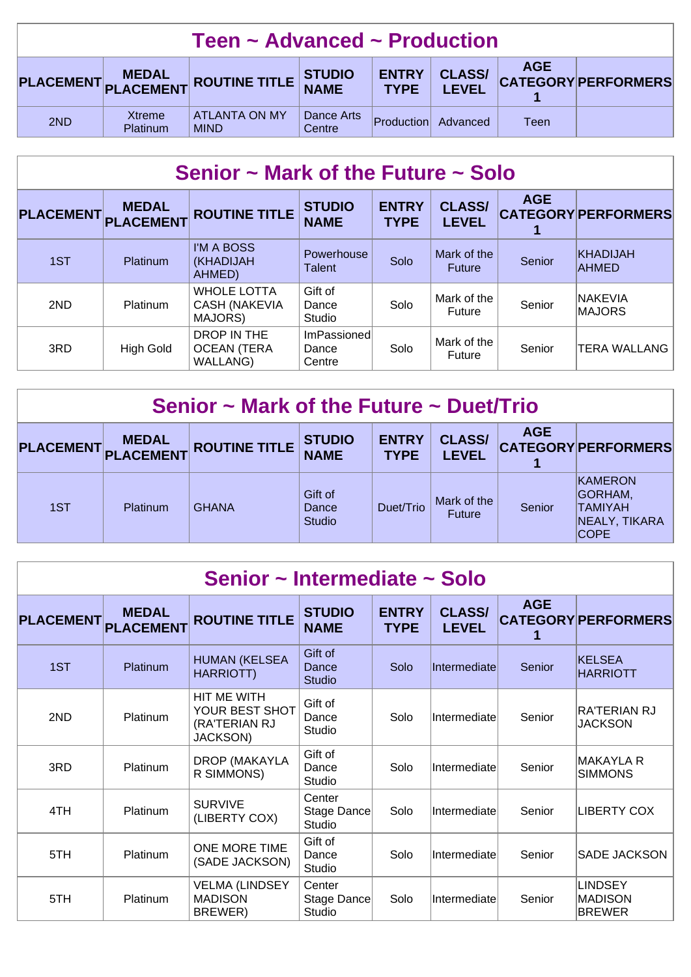| Teen $\sim$ Advanced $\sim$ Production                                                                                                           |                    |                                     |                      |            |          |      |  |  |
|--------------------------------------------------------------------------------------------------------------------------------------------------|--------------------|-------------------------------------|----------------------|------------|----------|------|--|--|
| <b>AGE</b><br><b>CLASS/</b><br><b>ENTRY</b><br>PLACEMENT MEDAL ROUTINE TITLE STUDIO<br><b>CATEGORY PERFORMERS</b><br><b>TYPE</b><br><b>LEVEL</b> |                    |                                     |                      |            |          |      |  |  |
| 2ND                                                                                                                                              | Xtreme<br>Platinum | <b>ATLANTA ON MY</b><br><b>MIND</b> | Dance Arts<br>Centre | Production | Advanced | Teen |  |  |

# **Senior ~ Mark of the Future ~ Solo**

| PLACEMENT PLACEMENT | <b>MEDAL</b>     | <b>ROUTINE TITLE</b>                                  | <b>STUDIO</b><br><b>NAME</b>   | <b>ENTRY</b><br><b>TYPE</b> | <b>CLASS/</b><br><b>LEVEL</b> | <b>AGE</b> | <b>CATEGORY PERFORMERS</b> |
|---------------------|------------------|-------------------------------------------------------|--------------------------------|-----------------------------|-------------------------------|------------|----------------------------|
| 1ST                 | <b>Platinum</b>  | I'M A BOSS<br><b>(KHADIJAH</b><br>AHMED)              | Powerhouse<br><b>Talent</b>    | Solo                        | Mark of the<br><b>Future</b>  | Senior     | KHADIJAH<br><b>AHMED</b>   |
| 2ND                 | <b>Platinum</b>  | <b>WHOLE LOTTA</b><br><b>CASH (NAKEVIA</b><br>MAJORS) | Gift of<br>Dance<br>Studio     | Solo                        | Mark of the<br>Future         | Senior     | <b>NAKEVIA</b><br>MAJORS   |
| 3RD                 | <b>High Gold</b> | DROP IN THE<br><b>OCEAN (TERA</b><br>WALLANG)         | ImPassioned<br>Dance<br>Centre | Solo                        | Mark of the<br>Future         | Senior     | <b>TERA WALLANG</b>        |

| Senior $\sim$ Mark of the Future $\sim$ Duet/Trio |                 |                                         |                                   |                             |                               |            |                                                                              |  |  |
|---------------------------------------------------|-----------------|-----------------------------------------|-----------------------------------|-----------------------------|-------------------------------|------------|------------------------------------------------------------------------------|--|--|
|                                                   | PLACEMENT MEDAL | $\mathbf{F}$ ROUTINE TITLE $\mathbf{F}$ | <b>STUDIO</b><br><b>NAME</b>      | <b>ENTRY</b><br><b>TYPE</b> | <b>CLASS/</b><br><b>LEVEL</b> | <b>AGE</b> | <b>CATEGORY PERFORMERS</b>                                                   |  |  |
| 1ST                                               | <b>Platinum</b> | <b>GHANA</b>                            | Gift of<br>Dance<br><b>Studio</b> | Duet/Trio                   | Mark of the<br><b>Future</b>  | Senior     | <b>KAMERON</b><br><b>GORHAM,</b><br>ITAMIYAH<br>NEALY, TIKARA<br><b>COPE</b> |  |  |

| Senior ~ Intermediate ~ Solo |                                  |                                                                   |                                   |                             |                               |            |                                                   |  |  |  |
|------------------------------|----------------------------------|-------------------------------------------------------------------|-----------------------------------|-----------------------------|-------------------------------|------------|---------------------------------------------------|--|--|--|
| <b>PLACEMENT</b>             | <b>MEDAL</b><br><b>PLACEMENT</b> | <b>ROUTINE TITLE</b>                                              | <b>STUDIO</b><br><b>NAME</b>      | <b>ENTRY</b><br><b>TYPE</b> | <b>CLASS/</b><br><b>LEVEL</b> | <b>AGE</b> | <b>CATEGORY PERFORMERS</b>                        |  |  |  |
| 1ST                          | Platinum                         | <b>HUMAN (KELSEA</b><br>HARRIOTT)                                 | Gift of<br>Dance<br><b>Studio</b> | Solo                        | Intermediate                  | Senior     | <b>KELSEA</b><br><b>HARRIOTT</b>                  |  |  |  |
| 2ND                          | Platinum                         | HIT ME WITH<br>YOUR BEST SHOT<br>(RA'TERIAN RJ<br><b>JACKSON)</b> | Gift of<br>Dance<br>Studio        | Solo                        | Intermediate                  | Senior     | RA'TERIAN RJ<br><b>JACKSON</b>                    |  |  |  |
| 3RD                          | Platinum                         | DROP (MAKAYLA<br>R SIMMONS)                                       | Gift of<br>Dance<br>Studio        | Solo                        | Intermediate                  | Senior     | <b>MAKAYLA R</b><br><b>SIMMONS</b>                |  |  |  |
| 4TH                          | Platinum                         | <b>SURVIVE</b><br>(LIBERTY COX)                                   | Center<br>Stage Dance<br>Studio   | Solo                        | Intermediate                  | Senior     | <b>LIBERTY COX</b>                                |  |  |  |
| 5TH                          | Platinum                         | ONE MORE TIME<br>(SADE JACKSON)                                   | Gift of<br>Dance<br>Studio        | Solo                        | Intermediate                  | Senior     | SADE JACKSON                                      |  |  |  |
| 5TH                          | Platinum                         | <b>VELMA (LINDSEY</b><br><b>MADISON</b><br>BREWER)                | Center<br>Stage Dance<br>Studio   | Solo                        | Intermediate                  | Senior     | <b>LINDSEY</b><br><b>MADISON</b><br><b>BREWER</b> |  |  |  |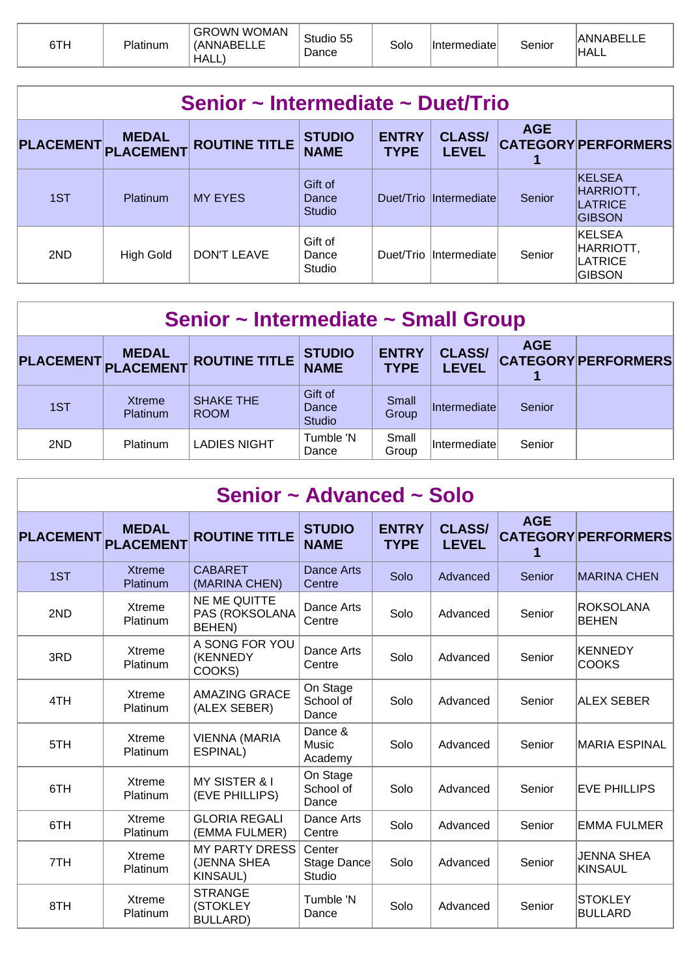| 6TH | Platinum | <b>GROWN WOMAN</b><br>(ANNABEI<br>`HALL. | Studio 55<br>$\mathsf{\scriptstyle D}$ ance | Solo | Intermediate | Senior | <b>ANNABELI</b><br><b>HALL</b> |
|-----|----------|------------------------------------------|---------------------------------------------|------|--------------|--------|--------------------------------|
|-----|----------|------------------------------------------|---------------------------------------------|------|--------------|--------|--------------------------------|

| Senior ~ Intermediate ~ Duet/Trio |           |                      |                                   |                             |                               |            |                                                        |  |  |  |
|-----------------------------------|-----------|----------------------|-----------------------------------|-----------------------------|-------------------------------|------------|--------------------------------------------------------|--|--|--|
| PLACEMENT MEDAL<br>PLACEMENT      |           | <b>ROUTINE TITLE</b> | <b>STUDIO</b><br><b>NAME</b>      | <b>ENTRY</b><br><b>TYPE</b> | <b>CLASS/</b><br><b>LEVEL</b> | <b>AGE</b> | <b>CATEGORY PERFORMERS</b>                             |  |  |  |
| 1ST                               | Platinum  | <b>MY EYES</b>       | Gift of<br>Dance<br><b>Studio</b> |                             | Duet/Trio Intermediate        | Senior     | <b>KELSEA</b><br>HARRIOTT,<br>LATRICE<br><b>GIBSON</b> |  |  |  |
| 2ND                               | High Gold | DON'T LEAVE          | Gift of<br>Dance<br>Studio        |                             | Duet/Trio Intermediate        | Senior     | <b>KELSEA</b><br>HARRIOTT,<br>LATRICE<br><b>GIBSON</b> |  |  |  |

| Senior ~ Intermediate ~ Small Group |                                  |                                 |                                   |                             |                               |            |                            |  |  |  |
|-------------------------------------|----------------------------------|---------------------------------|-----------------------------------|-----------------------------|-------------------------------|------------|----------------------------|--|--|--|
| <b>PLACEMENT</b>                    | <b>MEDAL</b><br><b>PLACEMENT</b> | <b>ROUTINE TITLE</b>            | <b>STUDIO</b><br><b>NAME</b>      | <b>ENTRY</b><br><b>TYPE</b> | <b>CLASS/</b><br><b>LEVEL</b> | <b>AGE</b> | <b>CATEGORY PERFORMERS</b> |  |  |  |
| 1ST                                 | Xtreme<br><b>Platinum</b>        | <b>SHAKE THE</b><br><b>ROOM</b> | Gift of<br>Dance<br><b>Studio</b> | Small<br>Group              | Intermediate                  | Senior     |                            |  |  |  |
| 2ND                                 | Platinum                         | <b>LADIES NIGHT</b>             | Tumble 'N<br>Dance                | Small<br>Group              | Intermediate                  | Senior     |                            |  |  |  |

| Senior ~ Advanced ~ Solo |                           |                                                         |                                 |                             |                               |            |                                     |  |  |  |
|--------------------------|---------------------------|---------------------------------------------------------|---------------------------------|-----------------------------|-------------------------------|------------|-------------------------------------|--|--|--|
| PLACEMENT PLACEMENT      | <b>MEDAL</b>              | <b>ROUTINE TITLE</b>                                    | <b>STUDIO</b><br><b>NAME</b>    | <b>ENTRY</b><br><b>TYPE</b> | <b>CLASS/</b><br><b>LEVEL</b> | <b>AGE</b> | <b>CATEGORY PERFORMERS</b>          |  |  |  |
| 1ST                      | <b>Xtreme</b><br>Platinum | <b>CABARET</b><br>(MARINA CHEN)                         | <b>Dance Arts</b><br>Centre     | Solo                        | Advanced                      | Senior     | <b>MARINA CHEN</b>                  |  |  |  |
| 2ND                      | Xtreme<br>Platinum        | <b>NE ME QUITTE</b><br>PAS (ROKSOLANA<br>BEHEN)         | Dance Arts<br>Centre            | Solo                        | Advanced                      | Senior     | <b>ROKSOLANA</b><br><b>BEHEN</b>    |  |  |  |
| 3RD                      | Xtreme<br>Platinum        | A SONG FOR YOU<br>(KENNEDY<br>COOKS)                    | Dance Arts<br>Centre            | Solo                        | Advanced                      | Senior     | <b>KENNEDY</b><br><b>COOKS</b>      |  |  |  |
| 4TH                      | Xtreme<br>Platinum        | <b>AMAZING GRACE</b><br>(ALEX SEBER)                    | On Stage<br>School of<br>Dance  | Solo                        | Advanced                      | Senior     | <b>ALEX SEBER</b>                   |  |  |  |
| 5TH                      | Xtreme<br>Platinum        | <b>VIENNA (MARIA</b><br>ESPINAL)                        | Dance &<br>Music<br>Academy     | Solo                        | Advanced                      | Senior     | IMARIA ESPINAL                      |  |  |  |
| 6TH                      | Xtreme<br>Platinum        | MY SISTER & I<br>(EVE PHILLIPS)                         | On Stage<br>School of<br>Dance  | Solo                        | Advanced                      | Senior     | <b>EVE PHILLIPS</b>                 |  |  |  |
| 6TH                      | Xtreme<br>Platinum        | <b>GLORIA REGALI</b><br>(EMMA FULMER)                   | Dance Arts<br>Centre            | Solo                        | Advanced                      | Senior     | <b>EMMA FULMER</b>                  |  |  |  |
| 7TH                      | Xtreme<br>Platinum        | <b>MY PARTY DRESS</b><br>(JENNA SHEA<br><b>KINSAUL)</b> | Center<br>Stage Dance<br>Studio | Solo                        | Advanced                      | Senior     | <b>JENNA SHEA</b><br><b>KINSAUL</b> |  |  |  |
| 8TH                      | Xtreme<br>Platinum        | <b>STRANGE</b><br>(STOKLEY<br><b>BULLARD)</b>           | Tumble 'N<br>Dance              | Solo                        | Advanced                      | Senior     | <b>STOKLEY</b><br><b>BULLARD</b>    |  |  |  |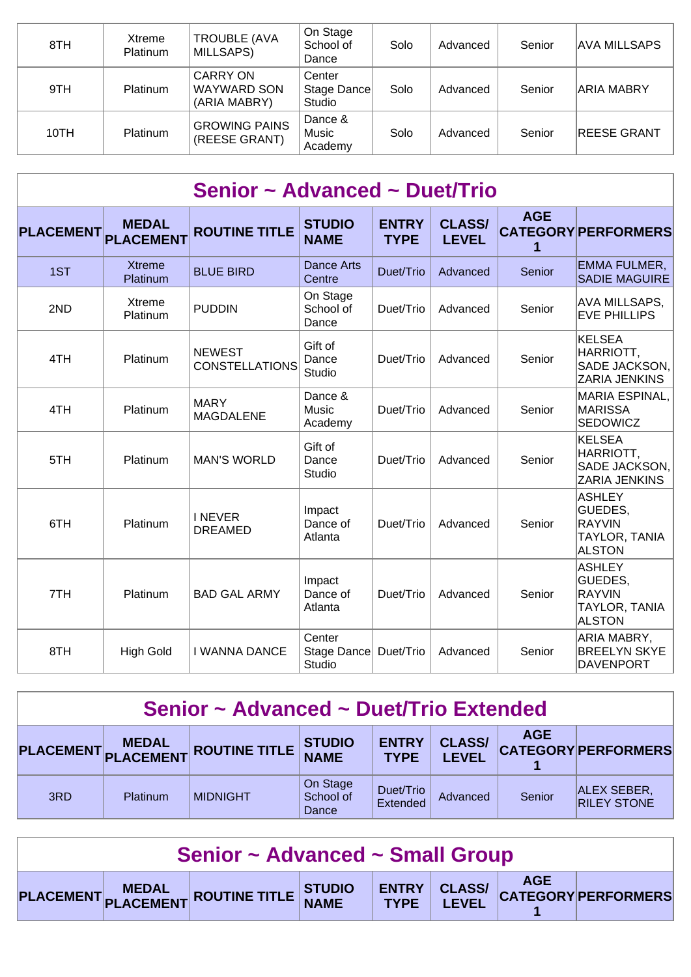| 8TH  | Xtreme<br><b>Platinum</b> | <b>TROUBLE (AVA</b><br>MILLSAPS)                      | On Stage<br>School of<br>Dance  | Solo | Advanced | Senior | <b>AVA MILLSAPS</b> |
|------|---------------------------|-------------------------------------------------------|---------------------------------|------|----------|--------|---------------------|
| 9TH  | <b>Platinum</b>           | <b>CARRY ON</b><br><b>WAYWARD SON</b><br>(ARIA MABRY) | Center<br>Stage Dance<br>Studio | Solo | Advanced | Senior | <b>ARIA MABRY</b>   |
| 10TH | <b>Platinum</b>           | <b>GROWING PAINS</b><br>(REESE GRANT)                 | Dance &<br>Music<br>Academy     | Solo | Advanced | Senior | <b>REESE GRANT</b>  |

| Senior ~ Advanced ~ Duet/Trio |                                  |                                        |                                 |                             |                               |                 |                                                                             |  |
|-------------------------------|----------------------------------|----------------------------------------|---------------------------------|-----------------------------|-------------------------------|-----------------|-----------------------------------------------------------------------------|--|
| <b>PLACEMENT</b>              | <b>MEDAL</b><br><b>PLACEMENT</b> | <b>ROUTINE TITLE</b>                   | <b>STUDIO</b><br><b>NAME</b>    | <b>ENTRY</b><br><b>TYPE</b> | <b>CLASS/</b><br><b>LEVEL</b> | <b>AGE</b><br>1 | <b>CATEGORY PERFORMERS</b>                                                  |  |
| 1ST                           | <b>Xtreme</b><br>Platinum        | <b>BLUE BIRD</b>                       | <b>Dance Arts</b><br>Centre     | Duet/Trio                   | Advanced                      | Senior          | <b>EMMA FULMER,</b><br><b>SADIE MAGUIRE</b>                                 |  |
| 2ND                           | Xtreme<br>Platinum               | <b>PUDDIN</b>                          | On Stage<br>School of<br>Dance  | Duet/Trio                   | Advanced                      | Senior          | AVA MILLSAPS,<br><b>EVE PHILLIPS</b>                                        |  |
| 4TH                           | Platinum                         | <b>NEWEST</b><br><b>CONSTELLATIONS</b> | Gift of<br>Dance<br>Studio      | Duet/Trio                   | Advanced                      | Senior          | <b>KELSEA</b><br>HARRIOTT,<br>SADE JACKSON,<br>ZARIA JENKINS                |  |
| 4TH                           | Platinum                         | <b>MARY</b><br><b>MAGDALENE</b>        | Dance &<br>Music<br>Academy     | Duet/Trio                   | Advanced                      | Senior          | <b>MARIA ESPINAL,</b><br><b>MARISSA</b><br>SEDOWICZ                         |  |
| 5TH                           | Platinum                         | <b>MAN'S WORLD</b>                     | Gift of<br>Dance<br>Studio      | Duet/Trio                   | Advanced                      | Senior          | <b>KELSEA</b><br>HARRIOTT,<br>SADE JACKSON,<br>ZARIA JENKINS                |  |
| 6TH                           | Platinum                         | <b>INEVER</b><br><b>DREAMED</b>        | Impact<br>Dance of<br>Atlanta   | Duet/Trio                   | Advanced                      | Senior          | <b>ASHLEY</b><br>GUEDES,<br><b>RAYVIN</b><br>TAYLOR, TANIA<br><b>ALSTON</b> |  |
| 7TH                           | Platinum                         | <b>BAD GAL ARMY</b>                    | Impact<br>Dance of<br>Atlanta   | Duet/Trio                   | Advanced                      | Senior          | <b>ASHLEY</b><br>GUEDES,<br><b>RAYVIN</b><br>TAYLOR, TANIA<br><b>ALSTON</b> |  |
| 8TH                           | <b>High Gold</b>                 | <b>I WANNA DANCE</b>                   | Center<br>Stage Dance<br>Studio | Duet/Trio                   | Advanced                      | Senior          | ARIA MABRY,<br><b>BREELYN SKYE</b><br><b>DAVENPORT</b>                      |  |

## **Senior ~ Advanced ~ Duet/Trio Extended**

|     | <b>MEDAL</b> | PLACEMENT PLACEMENT ROUTINE TITLE NAME | <b>STUDIO</b>                  | <b>ENTRY</b><br><b>TYPF</b> | <b>CLASS/</b><br><b>LEVEL</b> | <b>AGE</b> | <b>CATEGORY PERFORMERS</b>               |
|-----|--------------|----------------------------------------|--------------------------------|-----------------------------|-------------------------------|------------|------------------------------------------|
| 3RD | Platinum     | <b>MIDNIGHT</b>                        | On Stage<br>School of<br>Dance | Duet/Trio<br>Extended       | Advanced                      | Senior     | <b>ALEX SEBER,</b><br><b>RILEY STONE</b> |

| Senior ~ Advanced ~ Small Group |  |                                      |  |  |  |  |                                                       |
|---------------------------------|--|--------------------------------------|--|--|--|--|-------------------------------------------------------|
|                                 |  | PLACEMENT MEDAL ROUTINE TITLE STUDIO |  |  |  |  | VO ENTRY CLASS/ AGE<br>TYPE LEVEL CATEGORY PERFORMERS |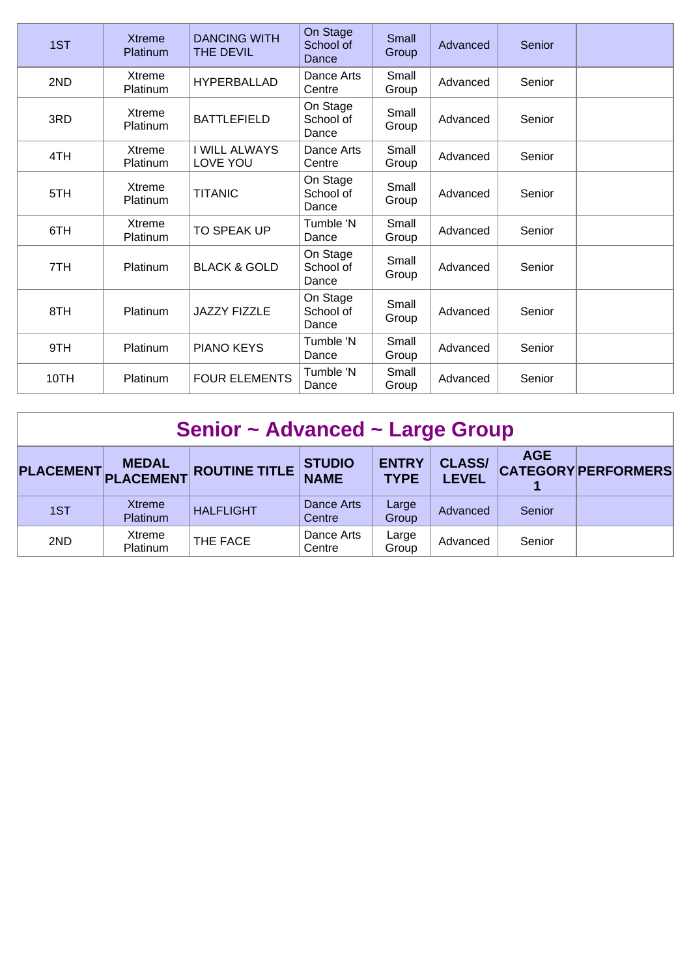| 1ST  | <b>Xtreme</b><br>Platinum | <b>DANCING WITH</b><br>THE DEVIL | On Stage<br>School of<br>Dance | Small<br>Group | Advanced | Senior |  |
|------|---------------------------|----------------------------------|--------------------------------|----------------|----------|--------|--|
| 2ND  | Xtreme<br>Platinum        | <b>HYPERBALLAD</b>               | Dance Arts<br>Centre           | Small<br>Group | Advanced | Senior |  |
| 3RD  | Xtreme<br>Platinum        | <b>BATTLEFIELD</b>               | On Stage<br>School of<br>Dance | Small<br>Group | Advanced | Senior |  |
| 4TH  | Xtreme<br>Platinum        | <b>I WILL ALWAYS</b><br>LOVE YOU | Dance Arts<br>Centre           | Small<br>Group | Advanced | Senior |  |
| 5TH  | Xtreme<br>Platinum        | <b>TITANIC</b>                   | On Stage<br>School of<br>Dance | Small<br>Group | Advanced | Senior |  |
| 6TH  | Xtreme<br>Platinum        | TO SPEAK UP                      | Tumble 'N<br>Dance             | Small<br>Group | Advanced | Senior |  |
| 7TH  | Platinum                  | <b>BLACK &amp; GOLD</b>          | On Stage<br>School of<br>Dance | Small<br>Group | Advanced | Senior |  |
| 8TH  | Platinum                  | <b>JAZZY FIZZLE</b>              | On Stage<br>School of<br>Dance | Small<br>Group | Advanced | Senior |  |
| 9TH  | Platinum                  | <b>PIANO KEYS</b>                | Tumble 'N<br>Dance             | Small<br>Group | Advanced | Senior |  |
| 10TH | Platinum                  | <b>FOUR ELEMENTS</b>             | Tumble 'N<br>Dance             | Small<br>Group | Advanced | Senior |  |

| Senior ~ Advanced ~ Large Group |                                     |                      |                              |                             |                               |            |                            |  |  |
|---------------------------------|-------------------------------------|----------------------|------------------------------|-----------------------------|-------------------------------|------------|----------------------------|--|--|
|                                 | <b>MEDAL</b><br>PLACEMENT PLACEMENT | <b>ROUTINE TITLE</b> | <b>STUDIO</b><br><b>NAME</b> | <b>ENTRY</b><br><b>TYPE</b> | <b>CLASS/</b><br><b>LEVEL</b> | <b>AGE</b> | <b>CATEGORY PERFORMERS</b> |  |  |
| 1ST                             | <b>Xtreme</b><br><b>Platinum</b>    | <b>HALFLIGHT</b>     | Dance Arts<br>Centre         | Large<br>Group              | Advanced                      | Senior     |                            |  |  |
| 2ND                             | Xtreme<br><b>Platinum</b>           | THE FACE             | Dance Arts<br>Centre         | Large<br>Group              | Advanced                      | Senior     |                            |  |  |